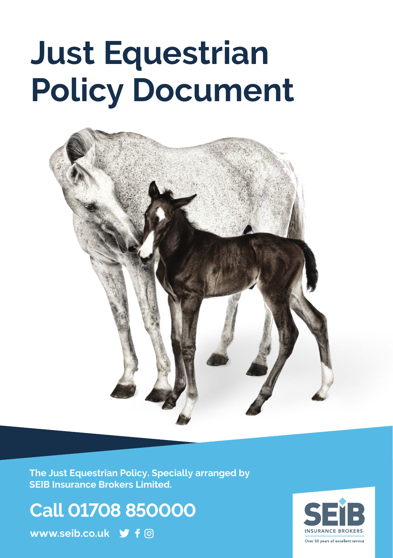# **Just Equestrian Policy Document**



**The Just Equestrian Policy. Specially arranged by SEIB Insurance Brokers Limited.**

**Call 01708 850000**

**www.seib.co.uk**

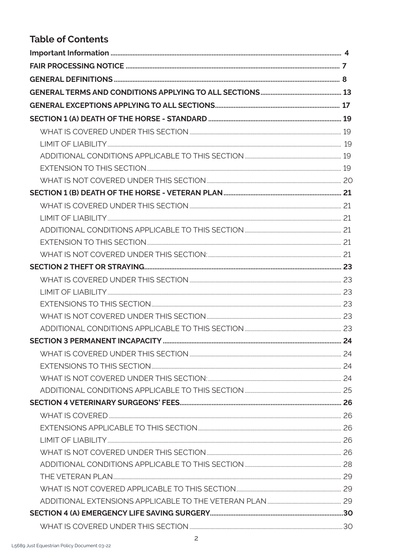# **Table of Contents**

| WHAT IS COVERED <b>COVERED</b> 26 |  |
|-----------------------------------|--|
|                                   |  |
|                                   |  |
|                                   |  |
|                                   |  |
|                                   |  |
|                                   |  |
|                                   |  |
|                                   |  |
|                                   |  |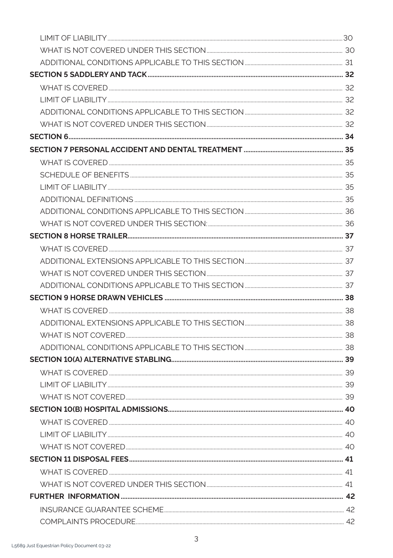| COMPLAINTS PROCEDURE 22 |  |
|-------------------------|--|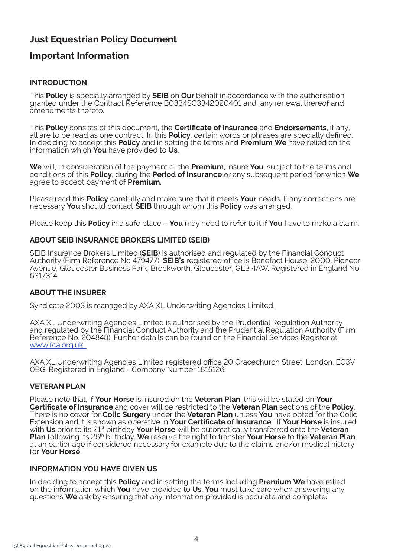# **Just Equestrian Policy Document**

# **Important Information**

# **INTRODUCTION**

This **Policy** is specially arranged by **SEIB** on **Our** behalf in accordance with the authorisation granted under the Contract Reference B0334SC3342020401 and any renewal thereof and amendments thereto.

This **Policy** consists of this document, the **Certificate of Insurance** and **Endorsements**, if any, all are to be read as one contract. In this **Policy**, certain words or phrases are specially defined. In deciding to accept this **Policy** and in setting the terms and **Premium We** have relied on the information which **You** have provided to **Us**.

**We** will, in consideration of the payment of the **Premium**, insure **You**, subject to the terms and conditions of this **Policy**, during the **Period of Insurance** or any subsequent period for which **We** agree to accept payment of **Premium**.

Please read this **Policy** carefully and make sure that it meets **Your** needs. If any corrections are necessary **You** should contact **SEIB** through whom this **Policy** was arranged.

Please keep this **Policy** in a safe place – **You** may need to refer to it if **You** have to make a claim.

## **ABOUT SEIB INSURANCE BROKERS LIMITED (SEIB)**

SEIB Insurance Brokers Limited (**SEIB**) is authorised and regulated by the Financial Conduct Authority (Firm Reference No 479477). **SEIB's** registered office is Benefact House, 2000, Pioneer Avenue, Gloucester Business Park, Brockworth, Gloucester, GL3 4AW. Registered in England No. 6317314.

# **ABOUT THE INSURER**

Syndicate 2003 is managed by AXA XL Underwriting Agencies Limited.

AXA XL Underwriting Agencies Limited is authorised by the Prudential Regulation Authority and regulated by the Financial Conduct Authority and the Prudential Regulation Authority (Firm Reference No. 204848). Further details can be found on the Financial Services Register at www.fca.org.uk.

AXA XL Underwriting Agencies Limited registered office 20 Gracechurch Street, London, EC3V 0BG. Registered in England - Company Number 1815126.

# **VETERAN PLAN**

Please note that, if **Your Horse** is insured on the **Veteran Plan**, this will be stated on **Your Certificate of Insurance** and cover will be restricted to the **Veteran Plan** sections of the **Policy**. There is no cover for **Colic Surgery** under the **Veteran Plan** unless **You** have opted for the Colic Extension and it is shown as operative in **Your Certificate of Insurance**. If **Your Horse** is insured with **Us** prior to its 21st birthday **Your Horse** will be automatically transferred onto the **Veteran Plan** following its 26th birthday. **We** reserve the right to transfer **Your Horse** to the **Veteran Plan**  at an earlier age if considered necessary for example due to the claims and/or medical history for **Your Horse**.

#### **INFORMATION YOU HAVE GIVEN US**

In deciding to accept this **Policy** and in setting the terms including **Premium We** have relied on the information which **You** have provided to **Us**. **You** must take care when answering any questions **We** ask by ensuring that any information provided is accurate and complete.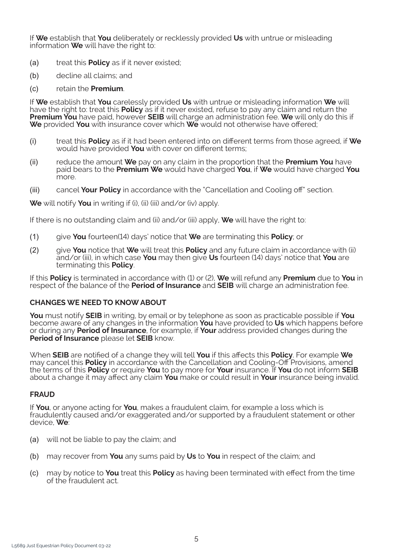If **We** establish that **You** deliberately or recklessly provided **Us** with untrue or misleading information **We** will have the right to:

- *(a)* treat this **Policy** as if it never existed;
- *(b)* decline all claims; and
- *(c)* retain the **Premium**.

If **We** establish that **You** carelessly provided **Us** with untrue or misleading information **We** will have the right to: treat this **Policy** as if it never existed, refuse to pay any claim and return the **Premium You** have paid, however **SEIB** will charge an administration fee. **We** will only do this if **We** provided **You** with insurance cover which **We** would not otherwise have offered;

- *(i)* treat this **Policy** as if it had been entered into on different terms from those agreed, if **We** would have provided **You** with cover on different terms;
- *(ii)* reduce the amount **We** pay on any claim in the proportion that the **Premium You** have paid bears to the **Premium We** would have charged **You**, if **We** would have charged **You** m∩re
- *(iii)* cancel **Your Policy** in accordance with the "Cancellation and Cooling off" section.

**We** will notify **You** in writing if (i), (ii) (iii) and/or (iv) apply.

If there is no outstanding claim and (ii) and/or (iii) apply, **We** will have the right to:

- *(1)* give **You** fourteen(14) days' notice that **We** are terminating this **Policy**; or
- *(2)* give **You** notice that **We** will treat this **Policy** and any future claim in accordance with (ii) and/or (iii), in which case **You** may then give **Us** fourteen (14) days' notice that **You** are terminating this **Policy**.

If this **Policy** is terminated in accordance with (1) or (2), **We** will refund any **Premium** due to **You** in respect of the balance of the **Period of Insurance** and **SEIB** will charge an administration fee.

#### **CHANGES WE NEED TO KNOW ABOUT**

**You** must notify **SEIB** in writing, by email or by telephone as soon as practicable possible if **You** become aware of any changes in the information **You** have provided to **Us** which happens before or during any **Period of Insurance**, for example, if **Your** address provided changes during the **Period of Insurance** please let **SEIB** know.

When **SEIB** are notified of a change they will tell **You** if this affects this **Policy**. For example **We** may cancel this **Policy** in accordance with the Cancellation and Cooling-Off Provisions, amend the terms of this **Policy** or require **You** to pay more for **Your** insurance. If **You** do not inform **SEIB**  about a change it may affect any claim **You** make or could result in **Your** insurance being invalid.

#### **FRAUD**

If **You**, or anyone acting for **You**, makes a fraudulent claim, for example a loss which is fraudulently caused and/or exaggerated and/or supported by a fraudulent statement or other device, **We**:

- *(a)* will not be liable to pay the claim; and
- *(b)* may recover from **You** any sums paid by **Us** to **You** in respect of the claim; and
- *(c)* may by notice to **You** treat this **Policy** as having been terminated with effect from the time of the fraudulent act.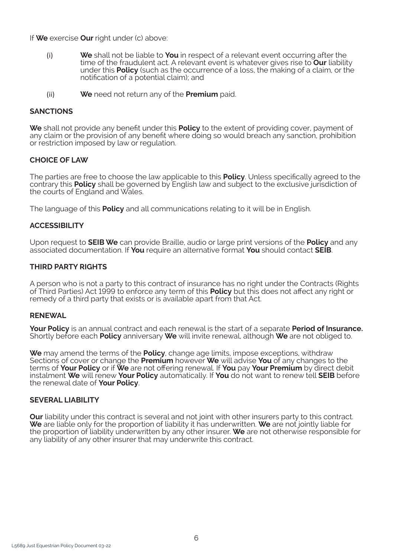If **We** exercise **Our** right under (c) above:

- (i) **We** shall not be liable to **You** in respect of a relevant event occurring after the time of the fraudulent act. A relevant event is whatever gives rise to **Our** liability under this **Policy** (such as the occurrence of a loss, the making of a claim, or the notification of a potential claim); and
- (ii) **We** need not return any of the **Premium** paid.

#### **SANCTIONS**

**We** shall not provide any benefit under this **Policy** to the extent of providing cover, payment of any claim or the provision of any benefit where doing so would breach any sanction, prohibition or restriction imposed by law or regulation.

## **CHOICE OF LAW**

The parties are free to choose the law applicable to this **Policy**. Unless specifically agreed to the contrary this **Policy** shall be governed by English law and subject to the exclusive jurisdiction of the courts of England and Wales.

The language of this **Policy** and all communications relating to it will be in English.

#### **ACCESSIBILITY**

Upon request to **SEIB We** can provide Braille, audio or large print versions of the **Policy** and any associated documentation. If **You** require an alternative format **You** should contact **SEIB**.

#### **THIRD PARTY RIGHTS**

A person who is not a party to this contract of insurance has no right under the Contracts (Rights of Third Parties) Act 1999 to enforce any term of this **Policy** but this does not affect any right or remedy of a third party that exists or is available apart from that Act.

## **RENEWAL**

**Your Policy** is an annual contract and each renewal is the start of a separate **Period of Insurance.**  Shortly before each **Policy** anniversary **We** will invite renewal, although **We** are not obliged to.

**We** may amend the terms of the **Policy**, change age limits, impose exceptions, withdraw Sections of cover or change the **Premium** however **We** will advise **You** of any changes to the terms of **Your Policy** or if **We** are not offering renewal. If **You** pay **Your Premium** by direct debit instalment **We** will renew **Your Policy** automatically. If **You** do not want to renew tell **SEIB** before the renewal date of **Your Policy**.

#### **SEVERAL LIABILITY**

**Our** liability under this contract is several and not joint with other insurers party to this contract. **We** are liable only for the proportion of liability it has underwritten. **We** are not jointly liable for the proportion of liability underwritten by any other insurer. **We** are not otherwise responsible for any liability of any other insurer that may underwrite this contract.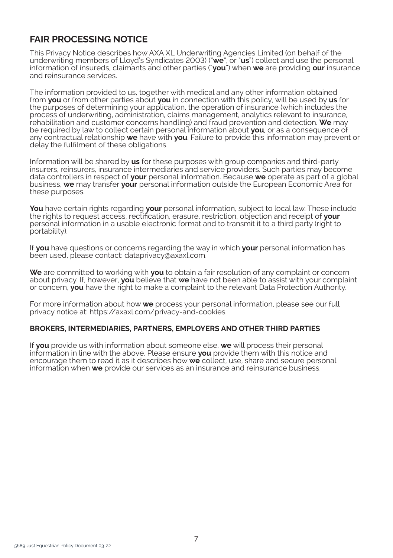# **FAIR PROCESSING NOTICE**

This Privacy Notice describes how AXA XL Underwriting Agencies Limited (on behalf of the underwriting members of Lloyd's Syndicates 2003) ("**we**", or "**us**") collect and use the personal information of insureds, claimants and other parties ("**you**") when **we** are providing **our** insurance and reinsurance services.

The information provided to us, together with medical and any other information obtained from **you** or from other parties about **you** in connection with this policy, will be used by **us** for the purposes of determining your application, the operation of insurance (which includes the process of underwriting, administration, claims management, analytics relevant to insurance, rehabilitation and customer concerns handling) and fraud prevention and detection. **We** may be required by law to collect certain personal information about **you**, or as a consequence of any contractual relationship **we** have with **you**. Failure to provide this information may prevent or delay the fulfilment of these obligations.

Information will be shared by **us** for these purposes with group companies and third-party insurers, reinsurers, insurance intermediaries and service providers. Such parties may become data controllers in respect of **your** personal information. Because **we** operate as part of a global business, **we** may transfer **your** personal information outside the European Economic Area for these purposes.

**You** have certain rights regarding **your** personal information, subject to local law. These include the rights to request access, rectification, erasure, restriction, objection and receipt of **your** personal information in a usable electronic format and to transmit it to a third party (right to portability).

If **you** have questions or concerns regarding the way in which **your** personal information has been used, please contact: dataprivacy@axaxl.com.

**We** are committed to working with **you** to obtain a fair resolution of any complaint or concern about privacy. If, however, **you** believe that **we** have not been able to assist with your complaint or concern, **you** have the right to make a complaint to the relevant Data Protection Authority.

For more information about how **we** process your personal information, please see our full privacy notice at: https://axaxl.com/privacy-and-cookies.

#### **BROKERS, INTERMEDIARIES, PARTNERS, EMPLOYERS AND OTHER THIRD PARTIES**

If **you** provide us with information about someone else, **we** will process their personal information in line with the above. Please ensure **you** provide them with this notice and encourage them to read it as it describes how **we** collect, use, share and secure personal information when **we** provide our services as an insurance and reinsurance business.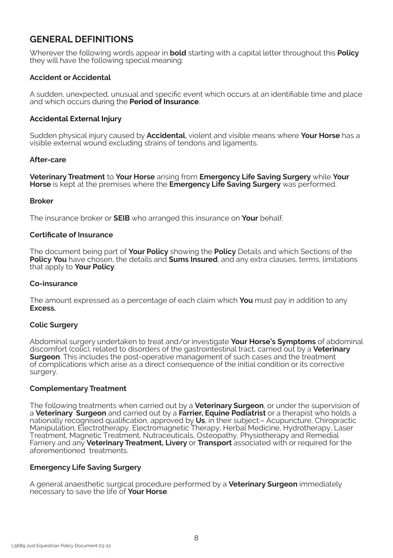# **GENERAL DEFINITIONS**

Wherever the following words appear in **bold** starting with a capital letter throughout this **Policy**  they will have the following special meaning:

## **Accident or Accidental**

A sudden, unexpected, unusual and specific event which occurs at an identifiable time and place and which occurs during the **Period of Insurance**.

## **Accidental External Injury**

Sudden physical injury caused by **Accidental**, violent and visible means where **Your Horse** has a visible external wound excluding strains of tendons and ligaments.

#### **After-care**

**Veterinary Treatment** to **Your Horse** arising from **Emergency Life Saving Surgery** while **Your Horse** is kept at the premises where the **Emergency Life Saving Surgery** was performed.

#### **Broker**

The insurance broker or **SEIB** who arranged this insurance on **Your** behalf.

#### **Certificate of Insurance**

The document being part of **Your Policy** showing the **Policy** Details and which Sections of the **Policy You** have chosen, the details and **Sums Insured**, and any extra clauses, terms, limitations that apply to **Your Policy**.

#### **Co-insurance**

The amount expressed as a percentage of each claim which **You** must pay in addition to any **Excess.** 

#### **Colic Surgery**

Abdominal surgery undertaken to treat and/or investigate **Your Horse's Symptoms** of abdominal discomfort (colic), related to disorders of the gastrointestinal tract, carried out by a **Veterinary Surgeon**. This includes the post-operative management of such cases and the treatment of complications which arise as a direct consequence of the initial condition or its corrective surgery.

#### **Complementary Treatment**

The following treatments when carried out by a **Veterinary Surgeon**, or under the supervision of a **Veterinary Surgeon** and carried out by a **Farrier, Equine Podiatrist** or a therapist who holds a nationally recognised qualification, approved by **Us**, in their subject:– Acupuncture, Chiropractic Manipulation, Electrotherapy, Electromagnetic Therapy, Herbal Medicine, Hydrotherapy, Laser Treatment, Magnetic Treatment, Nutraceuticals, Osteopathy, Physiotherapy and Remedial Farriery and any **Veterinary Treatment, Livery** or **Transport** associated with or required for the aforementioned treatments.

#### **Emergency Life Saving Surgery**

A general anaesthetic surgical procedure performed by a **Veterinary Surgeon** immediately necessary to save the life of **Your Horse**.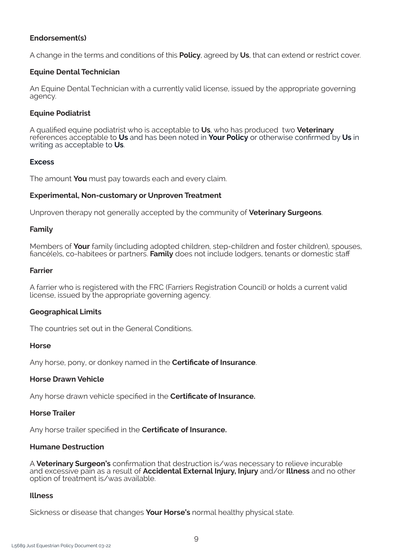#### **Endorsement(s)**

A change in the terms and conditions of this **Policy**, agreed by **Us**, that can extend or restrict cover.

#### **Equine Dental Technician**

An Equine Dental Technician with a currently valid license, issued by the appropriate governing agency.

#### **Equine Podiatrist**

A qualified equine podiatrist who is acceptable to **Us**, who has produced two **Veterinary**  references acceptable to **Us** and has been noted in **Your Policy** or otherwise confirmed by **Us** in writing as acceptable to **Us**.

## **Excess**

The amount **You** must pay towards each and every claim.

#### **Experimental, Non-customary or Unproven Treatment**

Unproven therapy not generally accepted by the community of **Veterinary Surgeons**.

#### **Family**

Members of **Your** family (including adopted children, step-children and foster children), spouses, fiancé(e)s, co-habitees or partners. **Family** does not include lodgers, tenants or domestic staff

#### **Farrier**

A farrier who is registered with the FRC (Farriers Registration Council) or holds a current valid license, issued by the appropriate governing agency.

#### **Geographical Limits**

The countries set out in the General Conditions.

#### **Horse**

Any horse, pony, or donkey named in the **Certificate of Insurance**.

#### **Horse Drawn Vehicle**

Any horse drawn vehicle specified in the **Certificate of Insurance.** 

#### **Horse Trailer**

Any horse trailer specified in the **Certificate of Insurance.** 

#### **Humane Destruction**

A **Veterinary Surgeon's** confirmation that destruction is/was necessary to relieve incurable and excessive pain as a result of **Accidental External Injury, Injury** and/or **Illness** and no other option of treatment is/was available.

#### **Illness**

Sickness or disease that changes **Your Horse's** normal healthy physical state.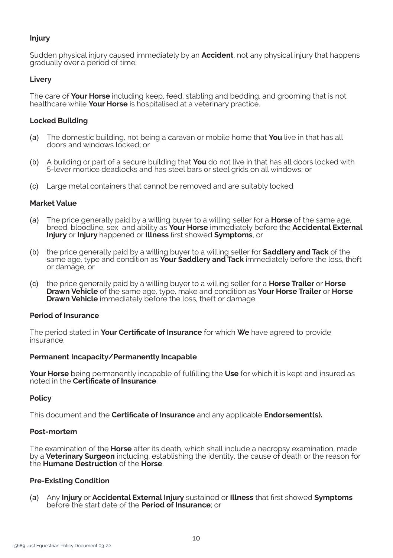## **Injury**

Sudden physical injury caused immediately by an **Accident**, not any physical injury that happens gradually over a period of time.

## **Livery**

The care of **Your Horse** including keep, feed, stabling and bedding, and grooming that is not healthcare while **Your Horse** is hospitalised at a veterinary practice.

#### **Locked Building**

- *(a)* The domestic building, not being a caravan or mobile home that **You** live in that has all doors and windows locked; or
- *(b)* A building or part of a secure building that **You** do not live in that has all doors locked with 5-lever mortice deadlocks and has steel bars or steel grids on all windows; or
- *(c)* Large metal containers that cannot be removed and are suitably locked.

#### **Market Value**

- *(a)* The price generally paid by a willing buyer to a willing seller for a **Horse** of the same age, breed, bloodline, sex and ability as **Your Horse** immediately before the **Accidental External Injury** or **Injury** happened or **Illness** first showed **Symptoms**, or
- *(b)* the price generally paid by a willing buyer to a willing seller for **Saddlery and Tack** of the same age, type and condition as **Your Saddlery and Tack** immediately before the loss, theft or damage, or
- *(c)* the price generally paid by a willing buyer to a willing seller for a **Horse Trailer** or **Horse Drawn Vehicle** of the same age, type, make and condition as **Your Horse Trailer** or **Horse Drawn Vehicle** immediately before the loss, theft or damage.

#### **Period of Insurance**

The period stated in **Your Certificate of Insurance** for which **We** have agreed to provide insurance.

#### **Permanent Incapacity/Permanently Incapable**

**Your Horse** being permanently incapable of fulfilling the **Use** for which it is kept and insured as noted in the **Certificate of Insurance**.

#### **Policy**

This document and the **Certificate of Insurance** and any applicable **Endorsement(s).**

#### **Post-mortem**

The examination of the **Horse** after its death, which shall include a necropsy examination, made by a **Veterinary Surgeon** including, establishing the identity, the cause of death or the reason for the **Humane Destruction** of the **Horse**.

#### **Pre-Existing Condition**

*(a)* Any **Injury** or **Accidental External Injury** sustained or **Illness** that first showed **Symptoms** before the start date of the **Period of Insurance**; or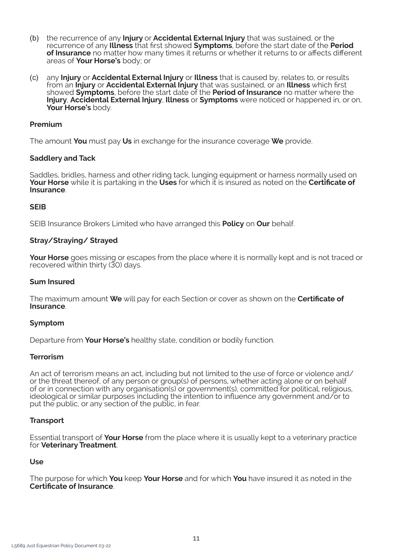- *(b)* the recurrence of any **Injury** or **Accidental External Injury** that was sustained, or the recurrence of any **Illness** that first showed **Symptoms**, before the start date of the **Period of Insurance** no matter how many times it returns or whether it returns to or affects different areas of **Your Horse's** body; or
- *(c)* any **Injury** or **Accidental External Injury** or **Illness** that is caused by, relates to, or results from an **Injury** or **Accidental External Injury** that was sustained, or an **Illness** which first showed **Symptoms**, before the start date of the **Period of Insurance** no matter where the **Injury**, **Accidental External Injury**, **Illness** or **Symptoms** were noticed or happened in, or on, **Your Horse's** body.

#### **Premium**

The amount **You** must pay **Us** in exchange for the insurance coverage **We** provide.

#### **Saddlery and Tack**

Saddles, bridles, harness and other riding tack, lunging equipment or harness normally used on **Your Horse** while it is partaking in the **Uses** for which it is insured as noted on the **Certificate of Insurance**.

#### **SEIB**

SEIB Insurance Brokers Limited who have arranged this **Policy** on **Our** behalf.

#### **Stray/Straying/ Strayed**

**Your Horse** goes missing or escapes from the place where it is normally kept and is not traced or recovered within thirty (30) days.

#### **Sum Insured**

The maximum amount **We** will pay for each Section or cover as shown on the **Certificate of Insurance**.

#### **Symptom**

Departure from **Your Horse's** healthy state, condition or bodily function.

#### **Terrorism**

An act of terrorism means an act, including but not limited to the use of force or violence and/ or the threat thereof, of any person or group(s) of persons, whether acting alone or on behalf of or in connection with any organisation(s) or government(s), committed for political, religious, ideological or similar purposes including the intention to influence any government and/or to put the public, or any section of the public, in fear.

#### **Transport**

Essential transport of **Your Horse** from the place where it is usually kept to a veterinary practice for **Veterinary Treatment**.

#### **Use**

The purpose for which **You** keep **Your Horse** and for which **You** have insured it as noted in the **Certificate of Insurance**.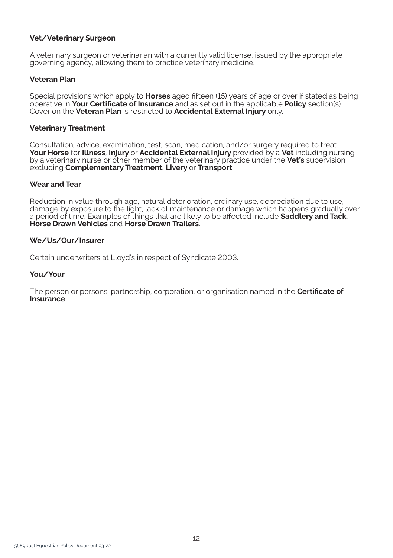#### **Vet/Veterinary Surgeon**

A veterinary surgeon or veterinarian with a currently valid license, issued by the appropriate governing agency, allowing them to practice veterinary medicine.

## **Veteran Plan**

Special provisions which apply to **Horses** aged fifteen (15) years of age or over if stated as being operative in **Your Certificate of Insurance** and as set out in the applicable **Policy** section(s). Cover on the **Veteran Plan** is restricted to **Accidental External Injury** only.

#### **Veterinary Treatment**

Consultation, advice, examination, test, scan, medication, and/or surgery required to treat **Your Horse** for **Illness**, **Injury** or **Accidental External Injury** provided by a **Vet** including nursing by a veterinary nurse or other member of the veterinary practice under the **Vet's** supervision excluding **Complementary Treatment, Livery** or **Transport**.

#### **Wear and Tear**

Reduction in value through age, natural deterioration, ordinary use, depreciation due to use, damage by exposure to the light, lack of maintenance or damage which happens gradually over a period of time. Examples of things that are likely to be affected include **Saddlery and Tack**, **Horse Drawn Vehicles** and **Horse Drawn Trailers**.

#### **We/Us/Our/Insurer**

Certain underwriters at Lloyd's in respect of Syndicate 2003.

#### **You/Your**

The person or persons, partnership, corporation, or organisation named in the **Certificate of Insurance**.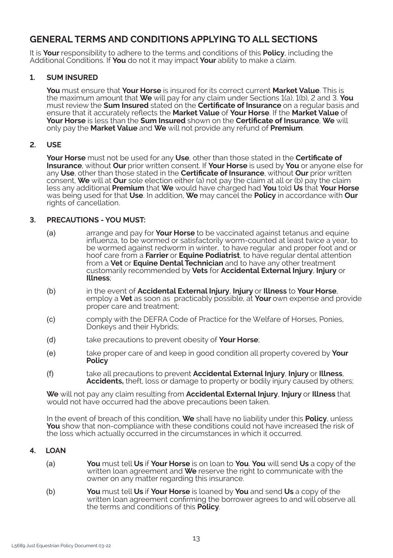# **GENERAL TERMS AND CONDITIONS APPLYING TO ALL SECTIONS**

It is **Your** responsibility to adhere to the terms and conditions of this **Policy**, including the Additional Conditions. If **You** do not it may impact **Your** ability to make a claim.

## **1. SUM INSURED**

**You** must ensure that **Your Horse** is insured for its correct current **Market Value**. This is the maximum amount that **We** will pay for any claim under Sections 1(a), 1(b), 2 and 3. **You**  must review the **Sum Insured** stated on the **Certificate of Insurance** on a regular basis and ensure that it accurately reflects the **Market Value** of **Your Horse**. If the **Market Value** of **Your Horse** is less than the **Sum Insured** shown on the **Certificate of Insurance**, **We** will only pay the **Market Value** and **We** will not provide any refund of **Premium**.

#### **2. USE**

**Your Horse** must not be used for any **Use**, other than those stated in the **Certificate of Insurance**, without **Our** prior written consent. If **Your Horse** is used by **You** or anyone else for any **Use**, other than those stated in the **Certificate of Insurance**, without **Our** prior written consent, **We** will at **Our** sole election either (a) not pay the claim at all or (b) pay the claim less any additional **Premium** that **We** would have charged had **You** told **Us** that **Your Horse**  was being used for that **Use**. In addition, **We** may cancel the **Policy** in accordance with **Our**  rights of cancellation.

## **3. PRECAUTIONS - YOU MUST:**

- *(a)* arrange and pay for **Your Horse** to be vaccinated against tetanus and equine influenza, to be wormed or satisfactorily worm-counted at least twice a year, to be wormed against redworm in winter, to have regular and proper foot and or hoof care from a **Farrier** or **Equine Podiatrist**, to have regular dental attention from a **Vet** or **Equine Dental Technician** and to have any other treatment customarily recommended by **Vets** for **Accidental External Injury**, **Injury** or **Illness**;
- *(b)* in the event of **Accidental External Injury**, **Injury** or **Illness** to **Your Horse**, employ a **Vet** as soon as practicably possible, at **Your** own expense and provide proper care and treatment;
- *(c)* comply with the DEFRA Code of Practice for the Welfare of Horses, Ponies, Donkeys and their Hybrids:
- *(d)* take precautions to prevent obesity of **Your Horse**;
- *(e)* take proper care of and keep in good condition all property covered by **Your Policy**
- *(f)* take all precautions to prevent **Accidental External Injury**, **Injury** or **Illness**, **Accidents,** theft, loss or damage to property or bodily injury caused by others;

**We** will not pay any claim resulting from **Accidental External Injury**, **Injury** or **Illness** that would not have occurred had the above precautions been taken.

In the event of breach of this condition, **We** shall have no liability under this **Policy**, unless **You** show that non-compliance with these conditions could not have increased the risk of the loss which actually occurred in the circumstances in which it occurred.

#### **4. LOAN**

- *(a)* **You** must tell **Us** if **Your Horse** is on loan to **You**. **You** will send **Us** a copy of the written loan agreement and **We** reserve the right to communicate with the owner on any matter regarding this insurance.
- *(b)* **You** must tell **Us** if **Your Horse** is loaned by **You** and send **Us** a copy of the written loan agreement confirming the borrower agrees to and will observe all the terms and conditions of this **Policy**.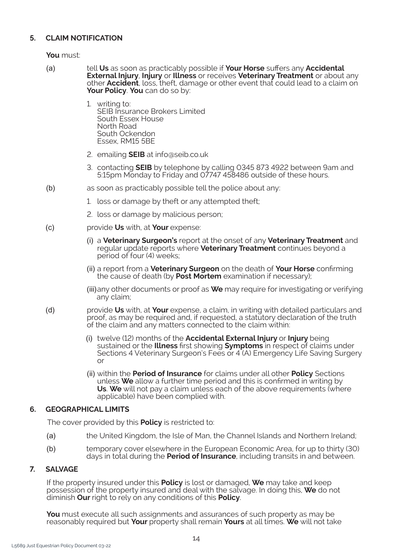# **5. CLAIM NOTIFICATION**

**You** must:

- *(a)* tell **Us** as soon as practicably possible if **Your Horse** suffers any **Accidental External Injury, Injury** or **Illness** or receives **Veterinary Treatment** or about any other **Accident**, loss, theft, damage or other event that could lead to a claim on **Your Policy**. **You** can do so by:
	- 1. writing to: SEIB Insurance Brokers Limited South Essex House North Road South Ockendon Essex, RM15 5BE
	- 2. emailing **SEIB** at info@seib.co.uk
	- 3. contacting **SEIB** by telephone by calling 0345 873 4922 between 9am and 5:15pm Monday to Friday and 07747 458486 outside of these hours.
- *(b)* as soon as practicably possible tell the police about any:
	- 1. loss or damage by theft or any attempted theft;
	- 2. loss or damage by malicious person;
- *(c)* provide **Us** with, at **Your** expense:
	- *(i)* a **Veterinary Surgeon's** report at the onset of any **Veterinary Treatment** and regular update reports where **Veterinary Treatment** continues beyond a period of four (4) weeks;
	- *(ii)* a report from a **Veterinary Surgeon** on the death of **Your Horse** confirming the cause of death (by **Post Mortem** examination if necessary);
	- *(iii)*any other documents or proof as **We** may require for investigating or verifying any claim;
- *(d)* provide **Us** with, at **Your** expense, a claim, in writing with detailed particulars and proof, as may be required and, if requested, a statutory declaration of the truth of the claim and any matters connected to the claim within:
	- *(i)* twelve (12) months of the **Accidental External Injury** or **Injury** being sustained or the **Illness** first showing **Symptoms** in respect of claims under Sections 4 Veterinary Surgeon's Fees or 4 (A) Emergency Life Saving Surgery or
	- *(ii)* within the **Period of Insurance** for claims under all other **Policy** Sections unless **We** allow a further time period and this is confirmed in writing by **Us**. **We** will not pay a claim unless each of the above requirements (where applicable) have been complied with.

# **6. GEOGRAPHICAL LIMITS**

The cover provided by this **Policy** is restricted to:

- *(a)* the United Kingdom, the Isle of Man, the Channel Islands and Northern Ireland;
- *(b)* temporary cover elsewhere in the European Economic Area, for up to thirty (30) days in total during the **Period of Insurance**, including transits in and between.

#### **7. SALVAGE**

If the property insured under this **Policy** is lost or damaged, **We** may take and keep possession of the property insured and deal with the salvage. In doing this, **We** do not diminish **Our** right to rely on any conditions of this **Policy**.

**You** must execute all such assignments and assurances of such property as may be reasonably required but **Your** property shall remain **Yours** at all times. **We** will not take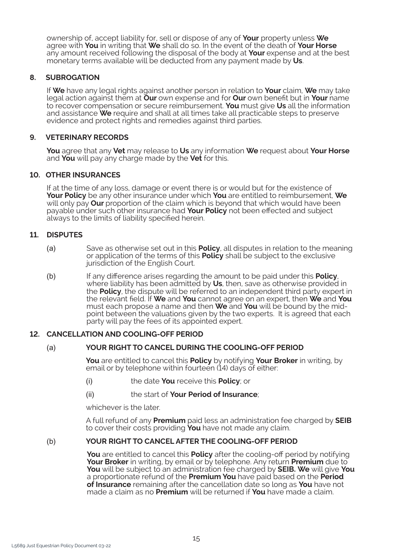ownership of, accept liability for, sell or dispose of any of **Your** property unless **We** agree with **You** in writing that **We** shall do so. In the event of the death of **Your Horse**  any amount received following the disposal of the body at **Your** expense and at the best monetary terms available will be deducted from any payment made by **Us**.

## **8. SUBROGATION**

If **We** have any legal rights against another person in relation to **Your** claim, **We** may take legal action against them at **Our** own expense and for **Our** own benefit but in **Your** name to recover compensation or secure reimbursement. **You** must give **Us** all the information and assistance **We** require and shall at all times take all practicable steps to preserve evidence and protect rights and remedies against third parties.

#### **9. VETERINARY RECORDS**

**You** agree that any **Vet** may release to **Us** any information **We** request about **Your Horse**  and **You** will pay any charge made by the **Vet** for this.

#### **10. OTHER INSURANCES**

If at the time of any loss, damage or event there is or would but for the existence of **Your Policy** be any other insurance under which **You** are entitled to reimbursement, **We**  will only pay **Our** proportion of the claim which is beyond that which would have been payable under such other insurance had **Your Policy** not been effected and subject always to the limits of liability specified herein.

#### **11. DISPUTES**

- *(a)* Save as otherwise set out in this **Policy**, all disputes in relation to the meaning or application of the terms of this **Policy** shall be subject to the exclusive jurisdiction of the English Court.
- *(b)* If any difference arises regarding the amount to be paid under this **Policy**, where liability has been admitted by **Us**, then, save as otherwise provided in the **Policy**, the dispute will be referred to an independent third party expert in the relevant field. If **We** and **You** cannot agree on an expert, then **We** and **You**  must each propose a name and then **We** and **You** will be bound by the midpoint between the valuations given by the two experts. It is agreed that each party will pay the fees of its appointed expert.

#### **12. CANCELLATION AND COOLING-OFF PERIOD**

# *(a)* **YOUR RIGHT TO CANCEL DURING THE COOLING-OFF PERIOD**

**You** are entitled to cancel this **Policy** by notifying **Your Broker** in writing, by email or by telephone within fourteen (14) days of either:

- *(i)* the date **You** receive this **Policy**; or
- *(ii)* the start of **Your Period of Insurance**;

whichever is the later.

A full refund of any **Premium** paid less an administration fee charged by **SEIB**  to cover their costs providing You have not made any claim.

#### *(b)* **YOUR RIGHT TO CANCEL AFTER THE COOLING-OFF PERIOD**

**You** are entitled to cancel this **Policy** after the cooling-off period by notifying **Your Broker** in writing, by email or by telephone. Any return **Premium** due to **You** will be subject to an administration fee charged by **SEIB. We** will give **You**  a proportionate refund of the **Premium You** have paid based on the **Period of Insurance** remaining after the cancellation date so long as **You** have not made a claim as no **Premium** will be returned if **You** have made a claim.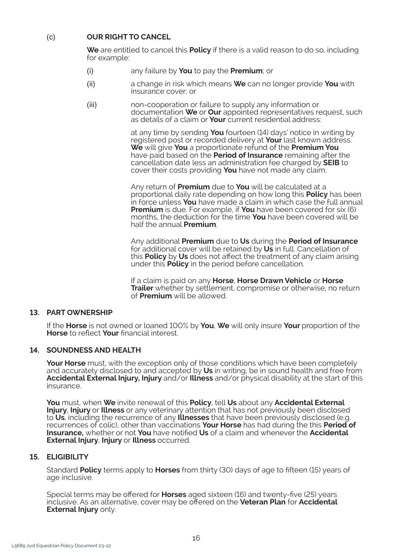# *(c)* **OUR RIGHT TO CANCEL**

**We** are entitled to cancel this **Policy** if there is a valid reason to do so, including for example:

- *(i)* any failure by **You** to pay the **Premium**; or
- *(ii)* a change in risk which means **We** can no longer provide **You** with insurance cover; or
- *(iii)* non-cooperation or failure to supply any information or documentation **We** or **Our** appointed representatives request, such as details of a claim or **Your** current residential address:

 at any time by sending **You** fourteen (14) days' notice in writing by registered post or recorded delivery at **Your** last known address. **We** will give **You** a proportionate refund of the **Premium You**  have paid based on the **Period of Insurance** remaining after the cancellation date less an administration fee charged by **SEIB** to cover their costs providing **You** have not made any claim.

 Any return of **Premium** due to **You** will be calculated at a proportional daily rate depending on how long this **Policy** has been in force unless **You** have made a claim in which case the full annual **Premium** is due. For example, if **You** have been covered for six (6) months, the deduction for the time **You** have been covered will be half the annual **Premium**.

 Any additional **Premium** due to **Us** during the **Period of Insurance** for additional cover will be retained by **Us** in full. Cancellation of this **Policy** by **Us** does not affect the treatment of any claim arising under this **Policy** in the period before cancellation.

 If a claim is paid on any **Horse**, **Horse Drawn Vehicle** or **Horse Trailer** whether by settlement, compromise or otherwise, no return of **Premium** will be allowed.

# **13. PART OWNERSHIP**

If the **Horse** is not owned or loaned 100% by **You**, **We** will only insure **Your** proportion of the **Horse** to reflect **Your** financial interest.

# **14. SOUNDNESS AND HEALTH**

**Your Horse** must, with the exception only of those conditions which have been completely and accurately disclosed to and accepted by **Us** in writing, be in sound health and free from **Accidental External Injury, Injury** and/or **Illness** and/or physical disability at the start of this insurance.

**You** must, when **We** invite renewal of this **Policy**, tell **Us** about any **Accidental External Injury**, **Injury** or **Illness** or any veterinary attention that has not previously been disclosed to **Us**, including the recurrence of any **Illnesses** that have been previously disclosed (e.g. recurrences of colic), other than vaccinations **Your Horse** has had during the this **Period of Insurance,** whether or not **You** have notified **Us** of a claim and whenever the **Accidental External Injury**, **Injury** or **Illness** occurred.

### **15. ELIGIBILITY**

Standard **Policy** terms apply to **Horses** from thirty (30) days of age to fifteen (15) years of age inclusive.

Special terms may be offered for **Horses** aged sixteen (16) and twenty-five (25) years inclusive. As an alternative, cover may be offered on the **Veteran Plan** for **Accidental External Injury** only.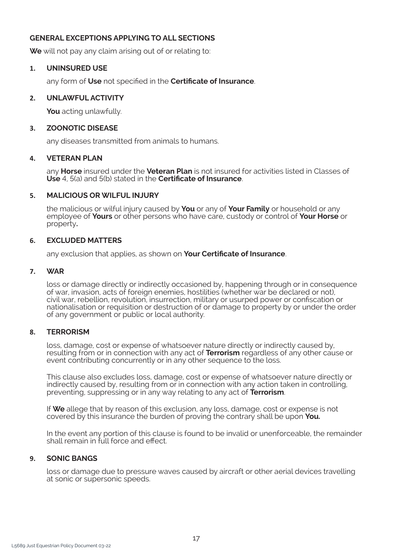# **GENERAL EXCEPTIONS APPLYING TO ALL SECTIONS**

**We** will not pay any claim arising out of or relating to:

#### **1. UNINSURED USE**

any form of **Use** not specified in the **Certificate of Insurance**.

#### **2. UNLAWFUL ACTIVITY**

**You** acting unlawfully.

#### **3. ZOONOTIC DISEASE**

any diseases transmitted from animals to humans.

#### **4. VETERAN PLAN**

any **Horse** insured under the **Veteran Plan** is not insured for activities listed in Classes of **Use** 4, 5(a) and 5(b) stated in the **Certificate of Insurance**.

#### **5. MALICIOUS OR WILFUL INJURY**

the malicious or wilful injury caused by **You** or any of **Your Family** or household or any employee of **Yours** or other persons who have care, custody or control of **Your Horse** or property**.**

#### **6. EXCLUDED MATTERS**

any exclusion that applies, as shown on **Your Certificate of Insurance**.

#### **7. WAR**

loss or damage directly or indirectly occasioned by, happening through or in consequence of war, invasion, acts of foreign enemies, hostilities (whether war be declared or not), civil war, rebellion, revolution, insurrection, military or usurped power or confiscation or nationalisation or requisition or destruction of or damage to property by or under the order of any government or public or local authority.

#### **8. TERRORISM**

loss, damage, cost or expense of whatsoever nature directly or indirectly caused by, resulting from or in connection with any act of **Terrorism** regardless of any other cause or event contributing concurrently or in any other sequence to the loss.

This clause also excludes loss, damage, cost or expense of whatsoever nature directly or indirectly caused by, resulting from or in connection with any action taken in controlling, preventing, suppressing or in any way relating to any act of **Terrorism**.

If **We** allege that by reason of this exclusion, any loss, damage, cost or expense is not covered by this insurance the burden of proving the contrary shall be upon **You.**

In the event any portion of this clause is found to be invalid or unenforceable, the remainder shall remain in full force and effect.

#### **9. SONIC BANGS**

loss or damage due to pressure waves caused by aircraft or other aerial devices travelling at sonic or supersonic speeds.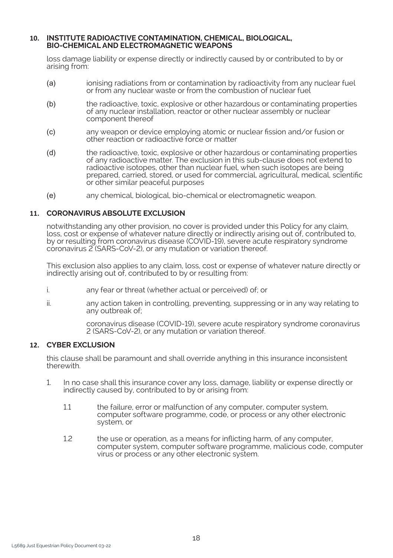#### **10. INSTITUTE RADIOACTIVE CONTAMINATION, CHEMICAL, BIOLOGICAL, BIO-CHEMICAL AND ELECTROMAGNETIC WEAPONS**

loss damage liability or expense directly or indirectly caused by or contributed to by or arising from:

- *(a)* ionising radiations from or contamination by radioactivity from any nuclear fuel or from any nuclear waste or from the combustion of nuclear fuel
- *(b)* the radioactive, toxic, explosive or other hazardous or contaminating properties of any nuclear installation, reactor or other nuclear assembly or nuclear component thereof
- *(c)* any weapon or device employing atomic or nuclear fission and/or fusion or other reaction or radioactive force or matter
- *(d)* the radioactive, toxic, explosive or other hazardous or contaminating properties of any radioactive matter. The exclusion in this sub-clause does not extend to radioactive isotopes, other than nuclear fuel, when such isotopes are being prepared, carried, stored, or used for commercial, agricultural, medical, scientific or other similar peaceful purposes
- *(e)* any chemical, biological, bio-chemical or electromagnetic weapon.

#### **11. CORONAVIRUS ABSOLUTE EXCLUSION**

notwithstanding any other provision, no cover is provided under this Policy for any claim, loss, cost or expense of whatever nature directly or indirectly arising out of, contributed to, by or resulting from coronavirus disease (COVID-19), severe acute respiratory syndrome coronavirus 2 (SARS-CoV-2), or any mutation or variation thereof.

This exclusion also applies to any claim, loss, cost or expense of whatever nature directly or indirectly arising out of, contributed to by or resulting from:

- i. any fear or threat (whether actual or perceived) of; or
- ii. any action taken in controlling, preventing, suppressing or in any way relating to any outbreak of;

coronavirus disease (COVID-19), severe acute respiratory syndrome coronavirus 2 (SARS-CoV-2), or any mutation or variation thereof.

#### **12. CYBER EXCLUSION**

this clause shall be paramount and shall override anything in this insurance inconsistent therewith.

- 1. In no case shall this insurance cover any loss, damage, liability or expense directly or indirectly caused by, contributed to by or arising from:
	- 1.1 the failure, error or malfunction of any computer, computer system, computer software programme, code, or process or any other electronic system, or
	- 1.2 the use or operation, as a means for inflicting harm, of any computer, computer system, computer software programme, malicious code, computer virus or process or any other electronic system.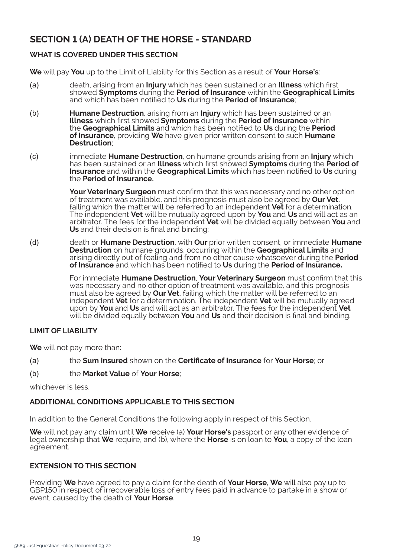# **SECTION 1 (A) DEATH OF THE HORSE - STANDARD**

# **WHAT IS COVERED UNDER THIS SECTION**

**We** will pay **You** up to the Limit of Liability for this Section as a result of **Your Horse's**:

- *(a)* death, arising from an **Injury** which has been sustained or an **Illness** which first showed **Symptoms** during the **Period of Insurance** within the **Geographical Limits**  and which has been notified to **Us** during the **Period of Insurance**;
- *(b)* **Humane Destruction**, arising from an **Injury** which has been sustained or an **Illness** which first showed **Symptoms** during the **Period of Insurance** within the **Geographical Limits** and which has been notified to **Us** during the **Period of Insurance**, providing **We** have given prior written consent to such **Humane Destruction**;
- *(c)* immediate **Humane Destruction**, on humane grounds arising from an **Injury** which has been sustained or an **Illness** which first showed **Symptoms** during the **Period of Insurance** and within the **Geographical Limits** which has been notified to **Us** during the **Period of Insurance.**

**Your Veterinary Surgeon** must confirm that this was necessary and no other option of treatment was available, and this prognosis must also be agreed by **Our Vet**, failing which the matter will be referred to an independent **Vet** for a determination. The independent **Vet** will be mutually agreed upon by **You** and **Us** and will act as an arbitrator. The fees for the independent **Vet** will be divided equally between **You** and **Us** and their decision is final and binding;

*(d)* death or **Humane Destruction**, with **Our** prior written consent, or immediate **Humane Destruction** on humane grounds, occurring within the **Geographical Limits** and arising directly out of foaling and from no other cause whatsoever during the **Period of Insurance** and which has been notified to **Us** during the **Period of Insurance.**

> For immediate **Humane Destruction**, **Your Veterinary Surgeon** must confirm that this was necessary and no other option of treatment was available, and this prognosis must also be agreed by **Our Vet**, failing which the matter will be referred to an independent **Vet** for a determination. The independent **Vet** will be mutually agreed upon by **You** and **Us** and will act as an arbitrator. The fees for the independent **Vet**  will be divided equally between **You** and **Us** and their decision is final and binding.

# **LIMIT OF LIABILITY**

**We** will not pay more than:

- *(a)* the **Sum Insured** shown on the **Certificate of Insurance** for **Your Horse**; or
- *(b)* the **Market Value** of **Your Horse**;

whichever is less.

# **ADDITIONAL CONDITIONS APPLICABLE TO THIS SECTION**

In addition to the General Conditions the following apply in respect of this Section.

**We** will not pay any claim until **We** receive (a) **Your Horse's** passport or any other evidence of legal ownership that **We** require, and (b), where the **Horse** is on loan to **You**, a copy of the loan agreement.

# **EXTENSION TO THIS SECTION**

Providing **We** have agreed to pay a claim for the death of **Your Horse**, **We** will also pay up to GBP150 in respect of irrecoverable loss of entry fees paid in advance to partake in a show or event, caused by the death of **Your Horse**.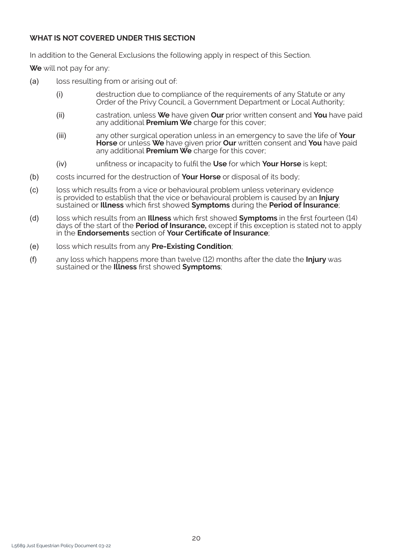# **WHAT IS NOT COVERED UNDER THIS SECTION**

In addition to the General Exclusions the following apply in respect of this Section.

**We** will not pay for any:

- *(a)* loss resulting from or arising out of:
	- *(i)* destruction due to compliance of the requirements of any Statute or any Order of the Privy Council, a Government Department or Local Authority;
	- *(ii)* castration, unless **We** have given **Our** prior written consent and **You** have paid any additional **Premium We** charge for this cover;
	- *(iii)* any other surgical operation unless in an emergency to save the life of **Your Horse** or unless **We** have given prior **Our** written consent and **You** have paid any additional **Premium We** charge for this cover;
	- *(iv)* unfitness or incapacity to fulfil the **Use** for which **Your Horse** is kept;
- *(b)* costs incurred for the destruction of **Your Horse** or disposal of its body;
- *(c)* loss which results from a vice or behavioural problem unless veterinary evidence is provided to establish that the vice or behavioural problem is caused by an **Injury** sustained or **Illness** which first showed **Symptoms** during the **Period of Insurance**;
- *(d)* loss which results from an **Illness** which first showed **Symptoms** in the first fourteen (14) days of the start of the **Period of Insurance,** except if this exception is stated not to apply in the **Endorsements** section of **Your Certificate of Insurance**;
- *(e)* loss which results from any **Pre-Existing Condition**;
- *(f)* any loss which happens more than twelve (12) months after the date the **Injury** was sustained or the **Illness** first showed **Symptoms**;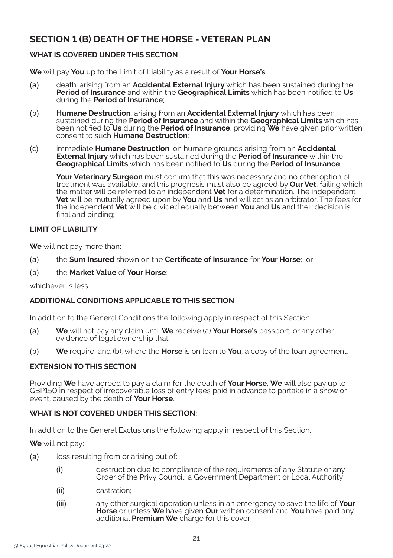# **SECTION 1 (B) DEATH OF THE HORSE - VETERAN PLAN**

# **WHAT IS COVERED UNDER THIS SECTION**

**We** will pay **You** up to the Limit of Liability as a result of **Your Horse's**:

- *(a)* death, arising from an **Accidental External Injury** which has been sustained during the **Period of Insurance** and within the **Geographical Limits** which has been notified to **Us** during the **Period of Insurance**;
- *(b)* **Humane Destruction**, arising from an **Accidental External Injury** which has been sustained during the **Period of Insurance** and within the **Geographical Limits** which has been notified to **Us** during the **Period of Insurance**, providing **We** have given prior written consent to such **Humane Destruction**;
- *(c)* immediate **Humane Destruction**, on humane grounds arising from an **Accidental External Injury** which has been sustained during the **Period of Insurance** within the **Geographical Limits** which has been notified to **Us** during the **Period of Insurance**.

**Your Veterinary Surgeon** must confirm that this was necessary and no other option of treatment was available, and this prognosis must also be agreed by **Our Vet**, failing which the matter will be referred to an independent **Vet** for a determination. The independent **Vet** will be mutually agreed upon by **You** and **Us** and will act as an arbitrator. The fees for the independent **Vet** will be divided equally between **You** and **Us** and their decision is final and binding;

## **LIMIT OF LIABILITY**

**We** will not pay more than:

- *(a)* the **Sum Insured** shown on the **Certificate of Insurance** for **Your Horse**; or
- *(b)* the **Market Value** of **Your Horse**:

whichever is less.

# **ADDITIONAL CONDITIONS APPLICABLE TO THIS SECTION**

In addition to the General Conditions the following apply in respect of this Section.

- *(a)* **We** will not pay any claim until **We** receive (a) **Your Horse's** passport, or any other evidence of legal ownership that
- *(b)* **We** require, and (b), where the **Horse** is on loan to **You**, a copy of the loan agreement.

# **EXTENSION TO THIS SECTION**

Providing **We** have agreed to pay a claim for the death of **Your Horse**, **We** will also pay up to GBP150 in respect of irrecoverable loss of entry fees paid in advance to partake in a show or event, caused by the death of **Your Horse**.

# **WHAT IS NOT COVERED UNDER THIS SECTION:**

In addition to the General Exclusions the following apply in respect of this Section.

**We** will not pay:

- *(a)* loss resulting from or arising out of:
	- *(i)* destruction due to compliance of the requirements of any Statute or any Order of the Privy Council, a Government Department or Local Authority;
	- *(ii)* castration;
	- *(iii)* any other surgical operation unless in an emergency to save the life of **Your Horse** or unless **We** have given **Our** written consent and **You** have paid any additional **Premium We** charge for this cover;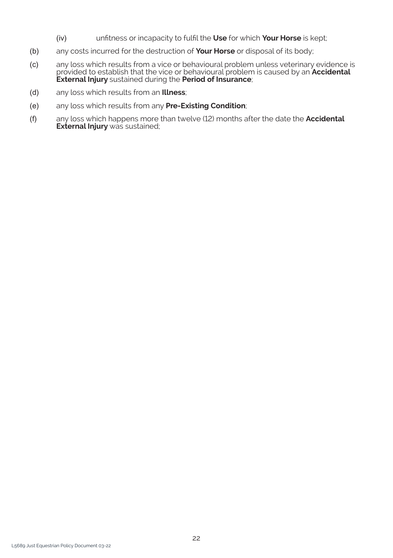- *(iv)* unfitness or incapacity to fulfil the **Use** for which **Your Horse** is kept;
- *(b)* any costs incurred for the destruction of **Your Horse** or disposal of its body;
- *(c)* any loss which results from a vice or behavioural problem unless veterinary evidence is provided to establish that the vice or behavioural problem is caused by an **Accidental External Injury** sustained during the **Period of Insurance**;
- *(d)* any loss which results from an **Illness**;
- *(e)* any loss which results from any **Pre-Existing Condition**;
- *(f)* any loss which happens more than twelve (12) months after the date the **Accidental External Injury** was sustained;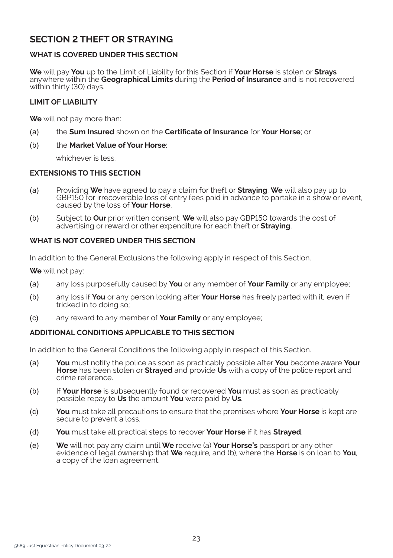# **SECTION 2 THEFT OR STRAYING**

# **WHAT IS COVERED UNDER THIS SECTION**

**We** will pay **You** up to the Limit of Liability for this Section if **Your Horse** is stolen or **Strays**  anywhere within the **Geographical Limits** during the **Period of Insurance** and is not recovered within thirty (30) days.

#### **LIMIT OF LIABILITY**

**We** will not pay more than:

- *(a)* the **Sum Insured** shown on the **Certificate of Insurance** for **Your Horse**; or
- *(b)* the **Market Value of Your Horse**:

whichever is less.

#### **EXTENSIONS TO THIS SECTION**

- *(a)* Providing **We** have agreed to pay a claim for theft or **Straying**, **We** will also pay up to GBP150 for irrecoverable loss of entry fees paid in advance to partake in a show or event, caused by the loss of **Your Horse**.
- *(b)* Subject to **Our** prior written consent, **We** will also pay GBP150 towards the cost of advertising or reward or other expenditure for each theft or **Straying**.

#### **WHAT IS NOT COVERED UNDER THIS SECTION**

In addition to the General Exclusions the following apply in respect of this Section.

**We** will not pay:

- *(a)* any loss purposefully caused by **You** or any member of **Your Family** or any employee;
- *(b)* any loss if **You** or any person looking after **Your Horse** has freely parted with it, even if tricked in to doing so;
- *(c)* any reward to any member of **Your Family** or any employee;

#### **ADDITIONAL CONDITIONS APPLICABLE TO THIS SECTION**

In addition to the General Conditions the following apply in respect of this Section.

- *(a)* **You** must notify the police as soon as practicably possible after **You** become aware **Your Horse** has been stolen or **Strayed** and provide **Us** with a copy of the police report and crime reference.
- *(b)* If **Your Horse** is subsequently found or recovered **You** must as soon as practicably possible repay to **Us** the amount **You** were paid by **Us**.
- *(c)* **You** must take all precautions to ensure that the premises where **Your Horse** is kept are secure to prevent a loss.
- *(d)* **You** must take all practical steps to recover **Your Horse** if it has **Strayed**.
- *(e)* **We** will not pay any claim until **We** receive (a) **Your Horse's** passport or any other evidence of legal ownership that **We** require, and (b), where the **Horse** is on loan to **You**, a copy of the loan agreement.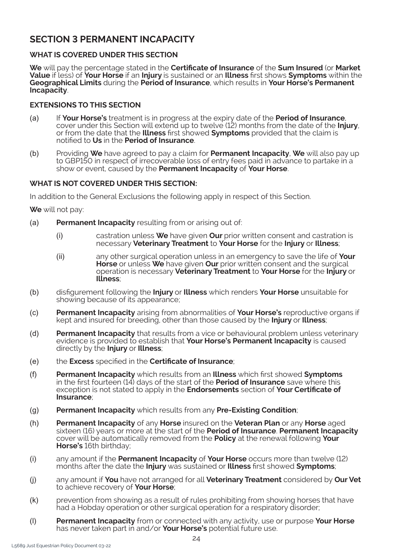# **SECTION 3 PERMANENT INCAPACITY**

## **WHAT IS COVERED UNDER THIS SECTION**

**We** will pay the percentage stated in the **Certificate of Insurance** of the **Sum Insured** (or **Market Value** if less) of **Your Horse** if an **Injury** is sustained or an **Illness** first shows **Symptoms** within the **Geographical Limits** during the **Period of Insurance**, which results in **Your Horse's Permanent Incapacity**.

#### **EXTENSIONS TO THIS SECTION**

- *(a)* If **Your Horse's** treatment is in progress at the expiry date of the **Period of Insurance**, cover under this Section will extend up to twelve (12) months from the date of the **Injury**, or from the date that the **Illness** first showed **Symptoms** provided that the claim is notified to **Us** in the **Period of Insurance**.
- *(b)* Providing **We** have agreed to pay a claim for **Permanent Incapacity**, **We** will also pay up to GBP150 in respect of irrecoverable loss of entry fees paid in advance to partake in a show or event, caused by the **Permanent Incapacity** of **Your Horse**.

# **WHAT IS NOT COVERED UNDER THIS SECTION:**

In addition to the General Exclusions the following apply in respect of this Section.

**We** will not pay:

- *(a)* **Permanent Incapacity** resulting from or arising out of:
	- *(i)* castration unless **We** have given **Our** prior written consent and castration is necessary **Veterinary Treatment** to **Your Horse** for the **Injury** or **Illness**;
	- *(ii)* any other surgical operation unless in an emergency to save the life of **Your Horse** or unless **We** have given **Our** prior written consent and the surgical operation is necessary **Veterinary Treatment** to **Your Horse** for the **Injury** or **Illness**;
- *(b)* disfigurement following the **Injury** or **Illness** which renders **Your Horse** unsuitable for showing because of its appearance;
- *(c)* **Permanent Incapacity** arising from abnormalities of **Your Horse's** reproductive organs if kept and insured for breeding, other than those caused by the **Injury** or **Illness**;
- *(d)* **Permanent Incapacity** that results from a vice or behavioural problem unless veterinary evidence is provided to establish that **Your Horse's Permanent Incapacity** is caused directly by the **Injury** or **Illness**;
- *(e)* the **Excess** specified in the **Certificate of Insurance**;
- *(f)* **Permanent Incapacity** which results from an **Illness** which first showed **Symptoms**  in the first fourteen (14) days of the start of the **Period of Insurance** save where this exception is not stated to apply in the **Endorsements** section of **Your Certificate of Insurance**;
- *(g)* **Permanent Incapacity** which results from any **Pre-Existing Condition**;
- *(h)* **Permanent Incapacity** of any **Horse** insured on the **Veteran Plan** or any **Horse** aged sixteen (16) years or more at the start of the **Period of Insurance**. **Permanent Incapacity** cover will be automatically removed from the **Policy** at the renewal following **Your Horse's** 16th birthday;
- *(i)* any amount if the **Permanent Incapacity** of **Your Horse** occurs more than twelve (12) months after the date the **Injury** was sustained or **Illness** first showed **Symptoms**;
- *(j)* any amount if **You** have not arranged for all **Veterinary Treatment** considered by **Our Vet**  to achieve recovery of **Your Horse**;
- *(k)* prevention from showing as a result of rules prohibiting from showing horses that have had a Hobday operation or other surgical operation for a respiratory disorder;
- *(l)* **Permanent Incapacity** from or connected with any activity, use or purpose **Your Horse**  has never taken part in and/or **Your Horse's** potential future use.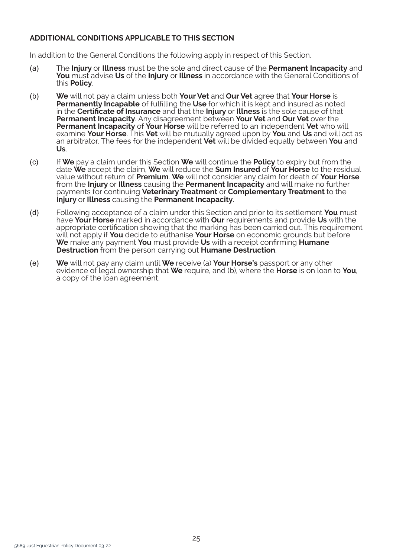## **ADDITIONAL CONDITIONS APPLICABLE TO THIS SECTION**

In addition to the General Conditions the following apply in respect of this Section.

- *(a)* The **Injury** or **Illness** must be the sole and direct cause of the **Permanent Incapacity** and **You** must advise **Us** of the **Injury** or **Illness** in accordance with the General Conditions of this **Policy**.
- *(b)* **We** will not pay a claim unless both **Your Vet** and **Our Vet** agree that **Your Horse** is **Permanently Incapable** of fulfilling the **Use** for which it is kept and insured as noted in the **Certificate of Insurance** and that the **Injury** or **Illness** is the sole cause of that **Permanent Incapacity**. Any disagreement between **Your Vet** and **Our Vet** over the **Permanent Incapacity** of **Your Horse** will be referred to an independent **Vet** who will examine **Your Horse**. This **Vet** will be mutually agreed upon by **You** and **Us** and will act as an arbitrator. The fees for the independent **Vet** will be divided equally between **You** and **Us**.
- *(c)* If **We** pay a claim under this Section **We** will continue the **Policy** to expiry but from the date **We** accept the claim, **We** will reduce the **Sum Insured** of **Your Horse** to the residual value without return of **Premium**. **We** will not consider any claim for death of **Your Horse**  from the **Injury** or **Illness** causing the **Permanent Incapacity** and will make no further payments for continuing **Veterinary Treatment** or **Complementary Treatment** to the **Injury** or **Illness** causing the **Permanent Incapacity**.
- *(d)* Following acceptance of a claim under this Section and prior to its settlement **You** must have **Your Horse** marked in accordance with **Our** requirements and provide **Us** with the appropriate certification showing that the marking has been carried out. This requirement will not apply if **You** decide to euthanise **Your Horse** on economic grounds but before **We** make any payment **You** must provide **Us** with a receipt confirming **Humane Destruction** from the person carrying out **Humane Destruction**.
- *(e)* **We** will not pay any claim until **We** receive (a) **Your Horse's** passport or any other evidence of legal ownership that **We** require, and (b), where the **Horse** is on loan to **You**, a copy of the loan agreement.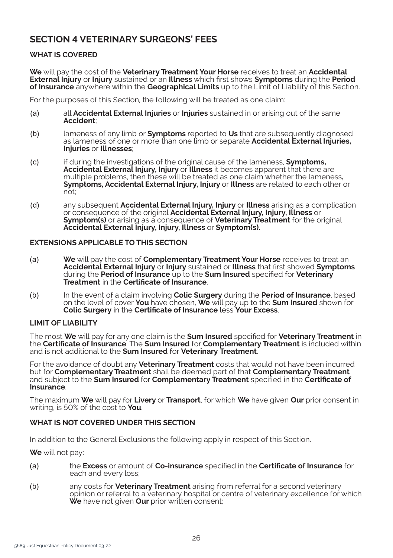# **SECTION 4 VETERINARY SURGEONS' FEES**

# **WHAT IS COVERED**

**We** will pay the cost of the **Veterinary Treatment Your Horse** receives to treat an **Accidental External Injury** or **Injury** sustained or an **Illness** which first shows **Symptoms** during the **Period of Insurance** anywhere within the **Geographical Limits** up to the Limit of Liability of this Section.

For the purposes of this Section, the following will be treated as one claim:

- *(a)* all **Accidental External Injuries** or **Injuries** sustained in or arising out of the same **Accident**;
- *(b)* lameness of any limb or **Symptoms** reported to **Us** that are subsequently diagnosed as lameness of one or more than one limb or separate **Accidental External Injuries, Injuries** or **Illnesses**;
- *(c)* if during the investigations of the original cause of the lameness, **Symptoms, Accidental External Injury, Injury** or **Illness** it becomes apparent that there are multiple problems, then these will be treated as one claim whether the lameness**, Symptoms, Accidental External Injury, Injury** or **Illness** are related to each other or  $n \tilde{o}$ t;
- *(d)* any subsequent **Accidental External Injury, Injury** or **Illness** arising as a complication or consequence of the original **Accidental External Injury, Injury, Illness** or **Symptom(s)** or arising as a consequence of **Veterinary Treatment** for the original **Accidental External Injury, Injury, Illness** or **Symptom(s).**

## **EXTENSIONS APPLICABLE TO THIS SECTION**

- *(a)* **We** will pay the cost of **Complementary Treatment Your Horse** receives to treat an **Accidental External Injury** or **Injury** sustained or **Illness** that first showed **Symptoms** during the **Period of Insurance** up to the **Sum Insured** specified for **Veterinary Treatment** in the **Certificate of Insurance**.
- *(b)* In the event of a claim involving **Colic Surgery** during the **Period of Insurance**, based on the level of cover **You** have chosen, **We** will pay up to the **Sum Insured** shown for **Colic Surgery** in the **Certificate of Insurance** less **Your Excess**.

# **LIMIT OF LIABILITY**

The most **We** will pay for any one claim is the **Sum Insured** specified for **Veterinary Treatment** in the **Certificate of Insurance**. The **Sum Insured** for **Complementary Treatment** is included within and is not additional to the **Sum Insured** for **Veterinary Treatment**.

For the avoidance of doubt any **Veterinary Treatment** costs that would not have been incurred but for **Complementary Treatment** shall be deemed part of that **Complementary Treatment**  and subject to the **Sum Insured** for **Complementary Treatment** specified in the **Certificate of Insurance**.

The maximum **We** will pay for **Livery** or **Transport**, for which **We** have given **Our** prior consent in writing, is 50% of the cost to **You**.

# **WHAT IS NOT COVERED UNDER THIS SECTION**

In addition to the General Exclusions the following apply in respect of this Section.

**We** will not pay:

- *(a)* the **Excess** or amount of **Co-insurance** specified in the **Certificate of Insurance** for each and every loss;
- *(b)* any costs for **Veterinary Treatment** arising from referral for a second veterinary opinion or referral to a veterinary hospital or centre of veterinary excellence for which **We** have not given **Our** prior written consent;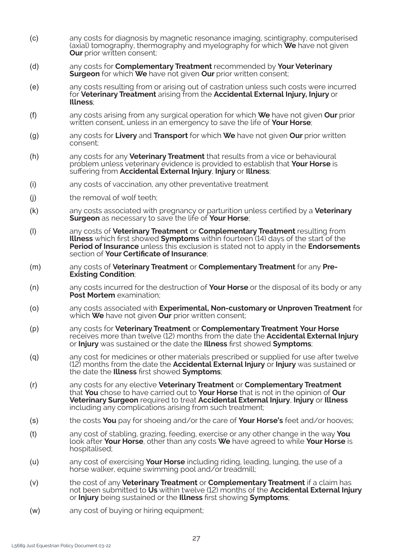- *(c)* any costs for diagnosis by magnetic resonance imaging, scintigraphy, computerised (axial) tomography, thermography and myelography for which **We** have not given **Our** prior written consent;
- *(d)* any costs for **Complementary Treatment** recommended by **Your Veterinary Surgeon** for which **We** have not given **Our** prior written consent;
- *(e)* any costs resulting from or arising out of castration unless such costs were incurred for **Veterinary Treatment** arising from the **Accidental External Injury, Injury** or **Illness**;
- *(f)* any costs arising from any surgical operation for which **We** have not given **Our** prior written consent, unless in an emergency to save the life of **Your Horse**;
- *(g)* any costs for **Livery** and **Transport** for which **We** have not given **Our** prior written consent;
- *(h)* any costs for any **Veterinary Treatment** that results from a vice or behavioural problem unless veterinary evidence is provided to establish that **Your Horse** is suffering from **Accidental External Injury**, **Injury** or **Illness**;
- *(i)* any costs of vaccination, any other preventative treatment
- *(j)* the removal of wolf teeth;
- *(k)* any costs associated with pregnancy or parturition unless certified by a **Veterinary Surgeon** as necessary to save the life of **Your Horse**;
- *(l)* any costs of **Veterinary Treatment** or **Complementary Treatment** resulting from **Illness** which first showed **Symptoms** within fourteen (14) days of the start of the **Period of Insurance** unless this exclusion is stated not to apply in the **Endorsements** section of **Your Certificate of Insurance**;
- *(m)* any costs of **Veterinary Treatment** or **Complementary Treatment** for any **Pre-Existing Condition**;
- *(n)* any costs incurred for the destruction of **Your Horse** or the disposal of its body or any **Post Mortem** examination;
- *(o)* any costs associated with **Experimental, Non-customary or Unproven Treatment** for which **We** have not given **Our** prior written consent;
- *(p)* any costs for **Veterinary Treatment** or **Complementary Treatment Your Horse** receives more than twelve (12) months from the date the **Accidental External Injury** or **Injury** was sustained or the date the **Illness** first showed **Symptoms**;
- *(q)* any cost for medicines or other materials prescribed or supplied for use after twelve (12) months from the date the **Accidental External Injury** or **Injury** was sustained or the date the **Illness** first showed **Symptoms**;
- *(r)* any costs for any elective **Veterinary Treatment** or **Complementary Treatment** that **You** chose to have carried out to **Your Horse** that is not in the opinion of **Our Veterinary Surgeon** required to treat **Accidental External Injury**, **Injury** or **Illness** including any complications arising from such treatment;
- *(s)* the costs **You** pay for shoeing and/or the care of **Your Horse's** feet and/or hooves;
- *(t)* any cost of stabling, grazing, feeding, exercise or any other change in the way **You** look after **Your Horse**, other than any costs **We** have agreed to while **Your Horse** is hospitalised;
- *(u)* any cost of exercising **Your Horse** including riding, leading, lunging, the use of a horse walker, equine swimming pool and/or treadmill;
- *(v)* the cost of any **Veterinary Treatment** or **Complementary Treatment** if a claim has not been submitted to **Us** within twelve (12) months of the **Accidental External Injury** or **Injury** being sustained or the **Illness** first showing **Symptoms**;
- *(w)* any cost of buying or hiring equipment;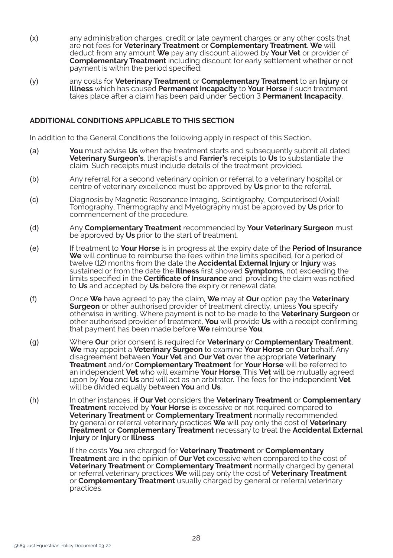- *(x)* any administration charges, credit or late payment charges or any other costs that are not fees for **Veterinary Treatment** or **Complementary Treatment**. **We** will deduct from any amount **We** pay any discount allowed by **Your Vet** or provider of **Complementary Treatment** including discount for early settlement whether or not payment is within the period specified;
- *(y)* any costs for **Veterinary Treatment** or **Complementary Treatment** to an **Injury** or **Illness** which has caused **Permanent Incapacity** to **Your Horse** if such treatment takes place after a claim has been paid under Section 3 **Permanent Incapacity**.

#### **ADDITIONAL CONDITIONS APPLICABLE TO THIS SECTION**

In addition to the General Conditions the following apply in respect of this Section.

- *(a)* **You** must advise **Us** when the treatment starts and subsequently submit all dated **Veterinary Surgeon's**, therapist's and **Farrier's** receipts to **Us** to substantiate the claim. Such receipts must include details of the treatment provided.
- *(b)* Any referral for a second veterinary opinion or referral to a veterinary hospital or centre of veterinary excellence must be approved by **Us** prior to the referral.
- *(c)* Diagnosis by Magnetic Resonance Imaging, Scintigraphy, Computerised (Axial) Tomography, Thermography and Myelography must be approved by **Us** prior to commencement of the procedure.
- *(d)* Any **Complementary Treatment** recommended by **Your Veterinary Surgeon** must be approved by **Us** prior to the start of treatment.
- *(e)* If treatment to **Your Horse** is in progress at the expiry date of the **Period of Insurance**  We will continue to reimburse the fees within the limits specified, for a period of twelve (12) months from the date the **Accidental External Injury** or **Injury** was sustained or from the date the **Illness** first showed **Symptoms**, not exceeding the limits specified in the **Certificate of Insurance** and providing the claim was notified to **Us** and accepted by **Us** before the expiry or renewal date.
- *(f)* Once **We** have agreed to pay the claim, **We** may at **Our** option pay the **Veterinary Surgeon** or other authorised provider of treatment directly, unless **You** specify otherwise in writing. Where payment is not to be made to the **Veterinary Surgeon** or other authorised provider of treatment, **You** will provide **Us** with a receipt confirming that payment has been made before **We** reimburse **You**.
- *(g)* Where **Our** prior consent is required for **Veterinary** or **Complementary Treatment**, **We** may appoint a **Veterinary Surgeon** to examine **Your Horse** on **Our** behalf. Any disagreement between **Your Vet** and **Our Vet** over the appropriate **Veterinary Treatment** and/or **Complementary Treatment** for **Your Horse** will be referred to an independent **Vet** who will examine **Your Horse**. This **Vet** will be mutually agreed upon by **You** and **Us** and will act as an arbitrator. The fees for the independent **Vet**  will be divided equally between **You** and **Us**.
- *(h)* In other instances, if **Our Vet** considers the **Veterinary Treatment** or **Complementary Treatment** received by **Your Horse** is excessive or not required compared to **Veterinary Treatment** or **Complementary Treatment** normally recommended by general or referral veterinary practices **We** will pay only the cost of **Veterinary Treatment** or **Complementary Treatment** necessary to treat the **Accidental External Injury** or **Injury** or **Illness**.

If the costs **You** are charged for **Veterinary Treatment** or **Complementary Treatment** are in the opinion of **Our Vet** excessive when compared to the cost of **Veterinary Treatment** or **Complementary Treatment** normally charged by general or referral veterinary practices **We** will pay only the cost of **Veterinary Treatment**  or **Complementary Treatment** usually charged by general or referral veterinary practices.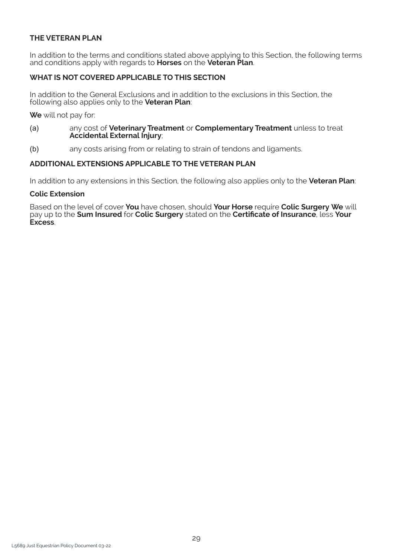# **THE VETERAN PLAN**

In addition to the terms and conditions stated above applying to this Section, the following terms and conditions apply with regards to **Horses** on the **Veteran Plan**.

# **WHAT IS NOT COVERED APPLICABLE TO THIS SECTION**

In addition to the General Exclusions and in addition to the exclusions in this Section, the following also applies only to the **Veteran Plan**:

**We** will not pay for:

- *(a)* any cost of **Veterinary Treatment** or **Complementary Treatment** unless to treat **Accidental External Injury**;
- *(b)* any costs arising from or relating to strain of tendons and ligaments.

#### **ADDITIONAL EXTENSIONS APPLICABLE TO THE VETERAN PLAN**

In addition to any extensions in this Section, the following also applies only to the **Veteran Plan**:

#### **Colic Extension**

Based on the level of cover **You** have chosen, should **Your Horse** require **Colic Surgery We** will pay up to the **Sum Insured** for **Colic Surgery** stated on the **Certificate of Insurance**, less **Your Excess**.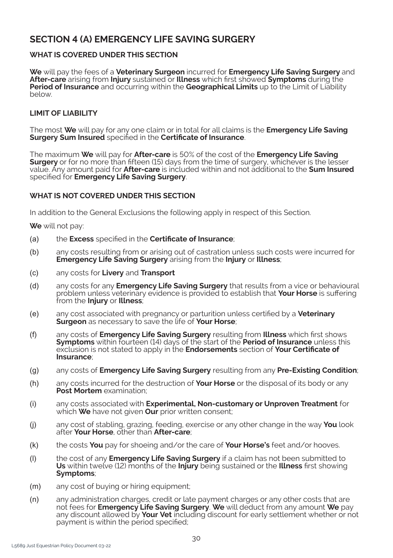# **SECTION 4 (A) EMERGENCY LIFE SAVING SURGERY**

# **WHAT IS COVERED UNDER THIS SECTION**

**We** will pay the fees of a **Veterinary Surgeon** incurred for **Emergency Life Saving Surgery** and **After-care** arising from **Injury** sustained or **Illness** which first showed **Symptoms** during the **Period of Insurance** and occurring within the **Geographical Limits** up to the Limit of Liability below.

# **LIMIT OF LIABILITY**

The most **We** will pay for any one claim or in total for all claims is the **Emergency Life Saving Surgery Sum Insured** specified in the **Certificate of Insurance**.

The maximum **We** will pay for **After-care** is 50% of the cost of the **Emergency Life Saving Surgery** or for no more than fifteen (15) days from the time of surgery, whichever is the lesser value. Any amount paid for **After-care** is included within and not additional to the **Sum Insured**  specified for **Emergency Life Saving Surgery**.

# **WHAT IS NOT COVERED UNDER THIS SECTION**

In addition to the General Exclusions the following apply in respect of this Section.

**We** will not pay:

- *(a)* the **Excess** specified in the **Certificate of Insurance**;
- *(b)* any costs resulting from or arising out of castration unless such costs were incurred for **Emergency Life Saving Surgery** arising from the **Injury** or **Illness**;
- *(c)* any costs for **Livery** and **Transport**
- *(d)* any costs for any **Emergency Life Saving Surgery** that results from a vice or behavioural problem unless veterinary evidence is provided to establish that **Your Horse** is suffering from the **Injury** or **Illness**;
- *(e)* any cost associated with pregnancy or parturition unless certified by a **Veterinary Surgeon** as necessary to save the life of **Your Horse**;
- *(f)* any costs of **Emergency Life Saving Surgery** resulting from **Illness** which first shows **Symptoms** within fourteen (14) days of the start of the **Period of Insurance** unless this exclusion is not stated to apply in the **Endorsements** section of **Your Certificate of Insurance**;
- *(g)* any costs of **Emergency Life Saving Surgery** resulting from any **Pre-Existing Condition**;
- *(h)* any costs incurred for the destruction of **Your Horse** or the disposal of its body or any **Post Mortem** examination;
- *(i)* any costs associated with **Experimental, Non-customary or Unproven Treatment** for which **We** have not given **Our** prior written consent;
- *(j)* any cost of stabling, grazing, feeding, exercise or any other change in the way **You** look after **Your Horse**, other than **After-care**;
- *(k)* the costs **You** pay for shoeing and/or the care of **Your Horse's** feet and/or hooves.
- *(l)* the cost of any **Emergency Life Saving Surgery** if a claim has not been submitted to **Us** within twelve (12) months of the **Injury** being sustained or the **Illness** first showing **Symptoms**;
- *(m)* any cost of buying or hiring equipment;
- *(n)* any administration charges, credit or late payment charges or any other costs that are not fees for **Emergency Life Saving Surgery**. **We** will deduct from any amount **We** pay any discount allowed by **Your Vet** including discount for early settlement whether or not payment is within the period specified;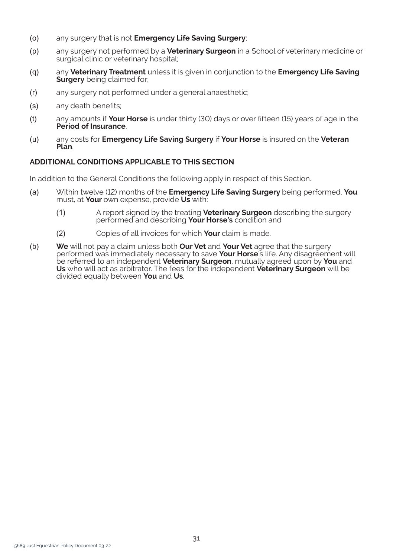- *(o)* any surgery that is not **Emergency Life Saving Surgery**;
- *(p)* any surgery not performed by a **Veterinary Surgeon** in a School of veterinary medicine or surgical clinic or veterinary hospital;
- *(q)* any **Veterinary Treatment** unless it is given in conjunction to the **Emergency Life Saving Surgery** being claimed for:
- *(r)* any surgery not performed under a general anaesthetic;
- *(s)* any death benefits;
- *(t)* any amounts if **Your Horse** is under thirty (30) days or over fifteen (15) years of age in the **Period of Insurance**.
- *(u)* any costs for **Emergency Life Saving Surgery** if **Your Horse** is insured on the **Veteran Plan**.

# **ADDITIONAL CONDITIONS APPLICABLE TO THIS SECTION**

In addition to the General Conditions the following apply in respect of this Section.

- *(a)* Within twelve (12) months of the **Emergency Life Saving Surgery** being performed, **You**  must, at **Your** own expense, provide **Us** with:
	- *(1)* A report signed by the treating **Veterinary Surgeon** describing the surgery performed and describing **Your Horse's** condition and
	- *(2)* Copies of all invoices for which **Your** claim is made.
- *(b)* **We** will not pay a claim unless both **Our Vet** and **Your Vet** agree that the surgery performed was immediately necessary to save **Your Horse**'s life. Any disagreement will be referred to an independent **Veterinary Surgeon**, mutually agreed upon by **You** and **Us** who will act as arbitrator. The fees for the independent **Veterinary Surgeon** will be divided equally between **You** and **Us**.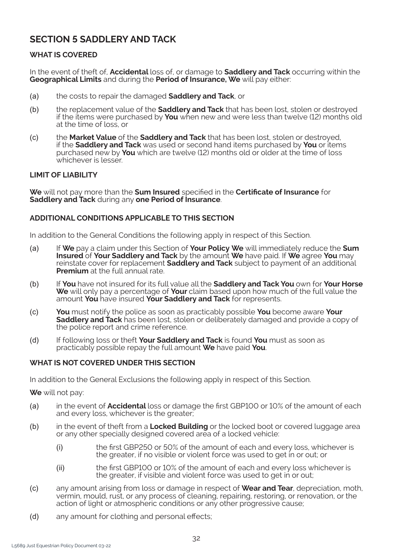# **SECTION 5 SADDLERY AND TACK**

# **WHAT IS COVERED**

In the event of theft of, **Accidental** loss of, or damage to **Saddlery and Tack** occurring within the **Geographical Limits** and during the **Period of Insurance, We** will pay either:

- *(a)* the costs to repair the damaged **Saddlery and Tack**, or
- *(b)* the replacement value of the **Saddlery and Tack** that has been lost, stolen or destroyed if the items were purchased by **You** when new and were less than twelve (12) months old at the time of loss, or
- *(c)* the **Market Value** of the **Saddlery and Tack** that has been lost, stolen or destroyed, if the **Saddlery and Tack** was used or second hand items purchased by **You** or items purchased new by **You** which are twelve (12) months old or older at the time of loss whichever is lesser

## **LIMIT OF LIABILITY**

**We** will not pay more than the **Sum Insured** specified in the **Certificate of Insurance** for **Saddlery and Tack** during any **one Period of Insurance**.

## **ADDITIONAL CONDITIONS APPLICABLE TO THIS SECTION**

In addition to the General Conditions the following apply in respect of this Section.

- *(a)* If **We** pay a claim under this Section of **Your Policy We** will immediately reduce the **Sum Insured** of **Your Saddlery and Tack** by the amount **We** have paid. If **We** agree **You** may reinstate cover for replacement **Saddlery and Tack** subject to payment of an additional **Premium** at the full annual rate.
- *(b)* If **You** have not insured for its full value all the **Saddlery and Tack You** own for **Your Horse We** will only pay a percentage of **Your** claim based upon how much of the full value the amount **You** have insured **Your Saddlery and Tack** for represents.
- *(c)* **You** must notify the police as soon as practicably possible **You** become aware **Your Saddlery and Tack** has been lost, stolen or deliberately damaged and provide a copy of the police report and crime reference.
- *(d)* If following loss or theft **Your Saddlery and Tack** is found **You** must as soon as practicably possible repay the full amount **We** have paid **You**.

#### **WHAT IS NOT COVERED UNDER THIS SECTION**

In addition to the General Exclusions the following apply in respect of this Section.

**We** will not pay:

- *(a)* in the event of **Accidental** loss or damage the first GBP100 or 10% of the amount of each and every loss, whichever is the greater;
- *(b)* in the event of theft from a **Locked Building** or the locked boot or covered luggage area or any other specially designed covered area of a locked vehicle:
	- *(i)* the first GBP250 or 50% of the amount of each and every loss, whichever is the greater, if no visible or violent force was used to get in or out; or
	- *(ii)* the first GBP100 or 10% of the amount of each and every loss whichever is the greater, if visible and violent force was used to get in or out;
- *(c)* any amount arising from loss or damage in respect of **Wear and Tear**, depreciation, moth, vermin, mould, rust, or any process of cleaning, repairing, restoring, or renovation, or the action of light or atmospheric conditions or any other progressive cause;
- *(d)* any amount for clothing and personal effects;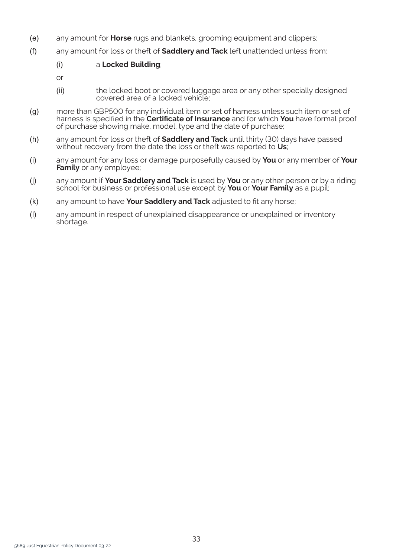- *(e)* any amount for **Horse** rugs and blankets, grooming equipment and clippers;
- *(f)* any amount for loss or theft of **Saddlery and Tack** left unattended unless from:

#### *(i)* a **Locked Building**;

- or
- *(ii)* the locked boot or covered luggage area or any other specially designed covered area of a locked vehicle;
- *(g)* more than GBP500 for any individual item or set of harness unless such item or set of harness is specified in the **Certificate of Insurance** and for which **You** have formal proof of purchase showing make, model, type and the date of purchase;
- *(h)* any amount for loss or theft of **Saddlery and Tack** until thirty (30) days have passed without recovery from the date the loss or theft was reported to **Us**;
- *(i)* any amount for any loss or damage purposefully caused by **You** or any member of **Your Family** or any employee;
- *(j)* any amount if **Your Saddlery and Tack** is used by **You** or any other person or by a riding school for business or professional use except by **You** or **Your Family** as a pupil;
- *(k)* any amount to have **Your Saddlery and Tack** adjusted to fit any horse;
- *(l)* any amount in respect of unexplained disappearance or unexplained or inventory shortage.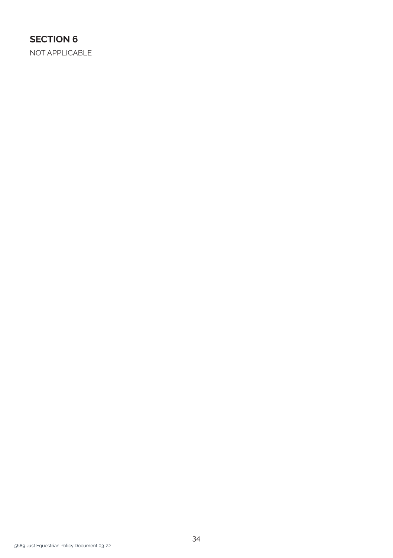# **SECTION 6**

NOT APPLICABLE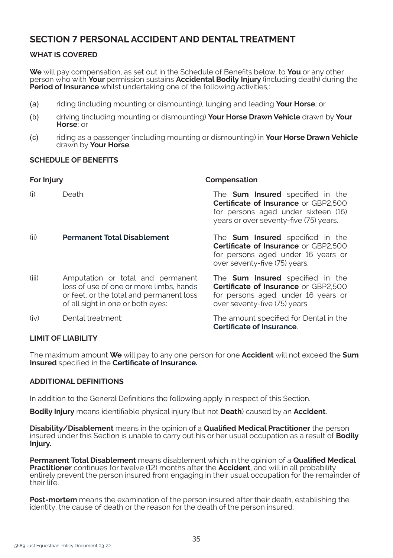# **SECTION 7 PERSONAL ACCIDENT AND DENTAL TREATMENT**

# **WHAT IS COVERED**

**We** will pay compensation, as set out in the Schedule of Benefits below, to **You** or any other person who with **Your** permission sustains **Accidental Bodily Injury** (including death) during the **Period of Insurance** whilst undertaking one of the following activities,:

- *(a)* riding (including mounting or dismounting), lunging and leading **Your Horse**; or
- *(b)* driving (including mounting or dismounting) **Your Horse Drawn Vehicle** drawn by **Your Horse**; or
- *(c)* riding as a passenger (including mounting or dismounting) in **Your Horse Drawn Vehicle**  drawn by **Your Horse**.

## **SCHEDULE OF BENEFITS**

| For Injury |                                                                                                                                                               | Compensation                                                                                                                                                            |  |
|------------|---------------------------------------------------------------------------------------------------------------------------------------------------------------|-------------------------------------------------------------------------------------------------------------------------------------------------------------------------|--|
| (i)        | Death:                                                                                                                                                        | The <b>Sum Insured</b> specified in the<br><b>Certificate of Insurance or GBP2.500</b><br>for persons aged under sixteen (16)<br>years or over seventy-five (75) years. |  |
| (ii)       | <b>Permanent Total Disablement</b>                                                                                                                            | The <b>Sum Insured</b> specified in the<br><b>Certificate of Insurance or GBP2.500</b><br>for persons aged under 16 years or<br>over seventy-five (75) years.           |  |
| (iii)      | Amputation or total and permanent<br>loss of use of one or more limbs, hands<br>or feet, or the total and permanent loss<br>of all sight in one or both eyes: | The <b>Sum Insured</b> specified in the<br><b>Certificate of Insurance or GBP2.500</b><br>for persons aged. under 16 years or<br>over seventy-five (75) years           |  |
| (iv)       | Dental treatment:                                                                                                                                             | The amount specified for Dental in the<br><b>Certificate of Insurance.</b>                                                                                              |  |

# **LIMIT OF LIABILITY**

The maximum amount **We** will pay to any one person for one **Accident** will not exceed the **Sum Insured** specified in the **Certificate of Insurance.**

# **ADDITIONAL DEFINITIONS**

In addition to the General Definitions the following apply in respect of this Section.

**Bodily Injury** means identifiable physical injury (but not **Death**) caused by an **Accident**.

**Disability/Disablement** means in the opinion of a **Qualified Medical Practitioner** the person insured under this Section is unable to carry out his or her usual occupation as a result of **Bodily Injury.**

**Permanent Total Disablement** means disablement which in the opinion of a **Qualified Medical Practitioner** continues for twelve (12) months after the **Accident**, and will in all probability entirely prevent the person insured from engaging in their usual occupation for the remainder of their life.

**Post-mortem** means the examination of the person insured after their death, establishing the identity, the cause of death or the reason for the death of the person insured.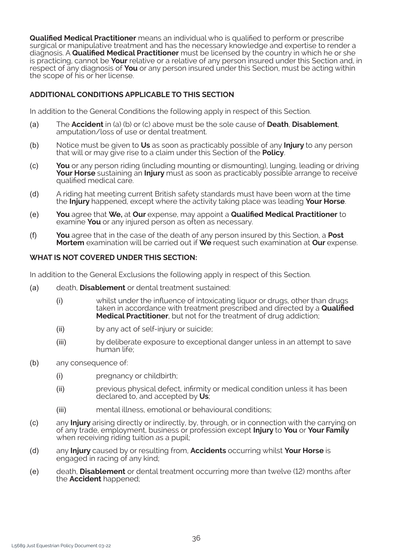**Qualified Medical Practitioner** means an individual who is qualified to perform or prescribe surgical or manipulative treatment and has the necessary knowledge and expertise to render a diagnosis. A **Qualified Medical Practitioner** must be licensed by the country in which he or she is practicing, cannot be **Your** relative or a relative of any person insured under this Section and, in respect of any diagnosis of **You** or any person insured under this Section, must be acting within the scope of his or her license.

# **ADDITIONAL CONDITIONS APPLICABLE TO THIS SECTION**

In addition to the General Conditions the following apply in respect of this Section.

- *(a)* The **Accident** in (a) (b) or (c) above must be the sole cause of **Death**, **Disablement**, amputation/loss of use or dental treatment.
- *(b)* Notice must be given to **Us** as soon as practicably possible of any **Injury** to any person that will or may give rise to a claim under this Section of the **Policy**.
- *(c)* **You** or any person riding (including mounting or dismounting), lunging, leading or driving **Your Horse** sustaining an **Injury** must as soon as practicably possible arrange to receive qualified medical care.
- *(d)* A riding hat meeting current British safety standards must have been worn at the time the **Injury** happened, except where the activity taking place was leading **Your Horse**.
- *(e)* **You** agree that **We,** at **Our** expense, may appoint a **Qualified Medical Practitioner** to examine **You** or any injured person as often as necessary.
- *(f)* **You** agree that in the case of the death of any person insured by this Section, a **Post Mortem** examination will be carried out if **We** request such examination at **Our** expense.

#### **WHAT IS NOT COVERED UNDER THIS SECTION:**

In addition to the General Exclusions the following apply in respect of this Section.

- *(a)* death, **Disablement** or dental treatment sustained:
	- *(i)* whilst under the influence of intoxicating liquor or drugs, other than drugs taken in accordance with treatment prescribed and directed by a **Qualified Medical Practitioner**, but not for the treatment of drug addiction;
	- *(ii)* by any act of self-injury or suicide;
	- *(iii)* by deliberate exposure to exceptional danger unless in an attempt to save human life;
- *(b)* any consequence of:
	- *(i)* pregnancy or childbirth;
	- *(ii)* previous physical defect, infirmity or medical condition unless it has been declared to, and accepted by **Us**;
	- *(iii)* mental illness, emotional or behavioural conditions;
- *(c)* any **Injury** arising directly or indirectly, by, through, or in connection with the carrying on of any trade, employment, business or profession except **Injury** to **You** or **Your Family** when receiving riding tuition as a pupil;
- *(d)* any **Injury** caused by or resulting from, **Accidents** occurring whilst **Your Horse** is engaged in racing of any kind;
- *(e)* death, **Disablement** or dental treatment occurring more than twelve (12) months after the **Accident** happened;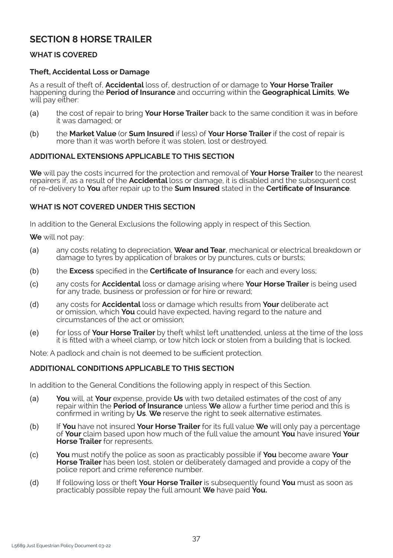# **SECTION 8 HORSE TRAILER**

# **WHAT IS COVERED**

# **Theft, Accidental Loss or Damage**

As a result of theft of, **Accidental** loss of, destruction of or damage to **Your Horse Trailer**  happening during the **Period of Insurance** and occurring within the **Geographical Limits**, **We**  will pay either:

- *(a)* the cost of repair to bring **Your Horse Trailer** back to the same condition it was in before it was damaged; or
- *(b)* the **Market Value** (or **Sum Insured** if less) of **Your Horse Trailer** if the cost of repair is more than it was worth before it was stolen, lost or destroyed.

## **ADDITIONAL EXTENSIONS APPLICABLE TO THIS SECTION**

**We** will pay the costs incurred for the protection and removal of **Your Horse Trailer** to the nearest repairers if, as a result of the **Accidental** loss or damage, it is disabled and the subsequent cost of re-delivery to **You** after repair up to the **Sum Insured** stated in the **Certificate of Insurance**.

## **WHAT IS NOT COVERED UNDER THIS SECTION**

In addition to the General Exclusions the following apply in respect of this Section.

**We** will not pay:

- *(a)* any costs relating to depreciation, **Wear and Tear**, mechanical or electrical breakdown or damage to tyres by application of brakes or by punctures, cuts or bursts;
- *(b)* the **Excess** specified in the **Certificate of Insurance** for each and every loss;
- *(c)* any costs for **Accidental** loss or damage arising where **Your Horse Trailer** is being used for any trade, business or profession or for hire or reward;
- *(d)* any costs for **Accidental** loss or damage which results from **Your** deliberate act or omission, which **You** could have expected, having regard to the nature and circumstances of the act or omission;
- *(e)* for loss of **Your Horse Trailer** by theft whilst left unattended, unless at the time of the loss it is fitted with a wheel clamp, or tow hitch lock or stolen from a building that is locked.

Note: A padlock and chain is not deemed to be sufficient protection.

#### **ADDITIONAL CONDITIONS APPLICABLE TO THIS SECTION**

In addition to the General Conditions the following apply in respect of this Section.

- *(a)* **You** will, at **Your** expense, provide **Us** with two detailed estimates of the cost of any repair within the **Period of Insurance** unless **We** allow a further time period and this is confirmed in writing by **Us**. **We** reserve the right to seek alternative estimates.
- *(b)* If **You** have not insured **Your Horse Trailer** for its full value **We** will only pay a percentage of **Your** claim based upon how much of the full value the amount **You** have insured **Your Horse Trailer** for represents.
- *(c)* **You** must notify the police as soon as practicably possible if **You** become aware **Your Horse Trailer** has been lost, stolen or deliberately damaged and provide a copy of the police report and crime reference number.
- *(d)* If following loss or theft **Your Horse Trailer** is subsequently found **You** must as soon as practicably possible repay the full amount **We** have paid **You.**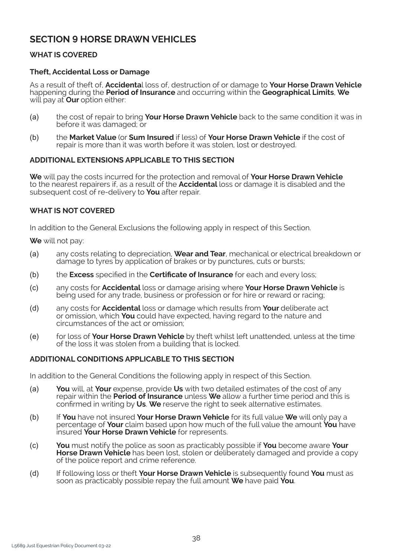# **SECTION 9 HORSE DRAWN VEHICLES**

# **WHAT IS COVERED**

## **Theft, Accidental Loss or Damage**

As a result of theft of, **Accidenta**l loss of, destruction of or damage to **Your Horse Drawn Vehicle**  happening during the **Period of Insurance** and occurring within the **Geographical Limits**, **We**  will pay at **Our** option either:

- *(a)* the cost of repair to bring **Your Horse Drawn Vehicle** back to the same condition it was in before it was damaged; or
- *(b)* the **Market Value** (or **Sum Insured** if less) of **Your Horse Drawn Vehicle** if the cost of repair is more than it was worth before it was stolen, lost or destroyed.

## **ADDITIONAL EXTENSIONS APPLICABLE TO THIS SECTION**

**We** will pay the costs incurred for the protection and removal of **Your Horse Drawn Vehicle**  to the nearest repairers if, as a result of the **Accidental** loss or damage it is disabled and the subsequent cost of re-delivery to **You** after repair.

## **WHAT IS NOT COVERED**

In addition to the General Exclusions the following apply in respect of this Section.

**We** will not pay:

- *(a)* any costs relating to depreciation, **Wear and Tear**, mechanical or electrical breakdown or damage to tyres by application of brakes or by punctures, cuts or bursts;
- *(b)* the **Excess** specified in the **Certificate of Insurance** for each and every loss;
- *(c)* any costs for **Accidental** loss or damage arising where **Your Horse Drawn Vehicle** is being used for any trade, business or profession or for hire or reward or racing;
- *(d)* any costs for **Accidental** loss or damage which results from **Your** deliberate act or omission, which **You** could have expected, having regard to the nature and circumstances of the act or omission;
- *(e)* for loss of **Your Horse Drawn Vehicle** by theft whilst left unattended, unless at the time of the loss it was stolen from a building that is locked.

#### **ADDITIONAL CONDITIONS APPLICABLE TO THIS SECTION**

In addition to the General Conditions the following apply in respect of this Section.

- *(a)* **You** will, at **Your** expense, provide **Us** with two detailed estimates of the cost of any repair within the **Period of Insurance** unless **We** allow a further time period and this is confirmed in writing by **Us**. **We** reserve the right to seek alternative estimates.
- *(b)* If **You** have not insured **Your Horse Drawn Vehicle** for its full value **We** will only pay a percentage of **Your** claim based upon how much of the full value the amount **You** have insured **Your Horse Drawn Vehicle** for represents.
- *(c)* **You** must notify the police as soon as practicably possible if **You** become aware **Your Horse Drawn Vehicle** has been lost, stolen or deliberately damaged and provide a copy of the police report and crime reference.
- *(d)* If following loss or theft **Your Horse Drawn Vehicle** is subsequently found **You** must as soon as practicably possible repay the full amount **We** have paid **You**.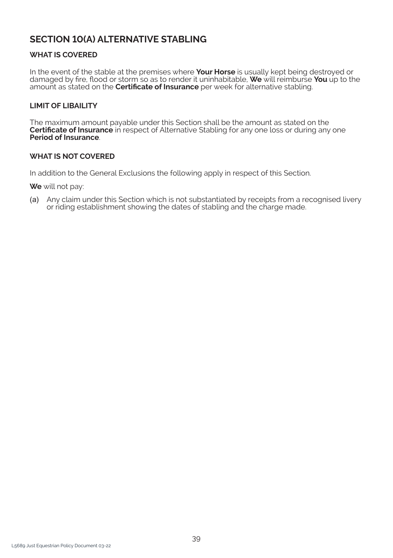# **SECTION 10(A) ALTERNATIVE STABLING**

# **WHAT IS COVERED**

In the event of the stable at the premises where **Your Horse** is usually kept being destroyed or damaged by fire, flood or storm so as to render it uninhabitable, **We** will reimburse **You** up to the amount as stated on the **Certificate of Insurance** per week for alternative stabling.

# **LIMIT OF LIBAILITY**

The maximum amount payable under this Section shall be the amount as stated on the **Certificate of Insurance** in respect of Alternative Stabling for any one loss or during any one **Period of Insurance**.

## **WHAT IS NOT COVERED**

In addition to the General Exclusions the following apply in respect of this Section.

**We** will not pay:

*(a)* Any claim under this Section which is not substantiated by receipts from a recognised livery or riding establishment showing the dates of stabling and the charge made.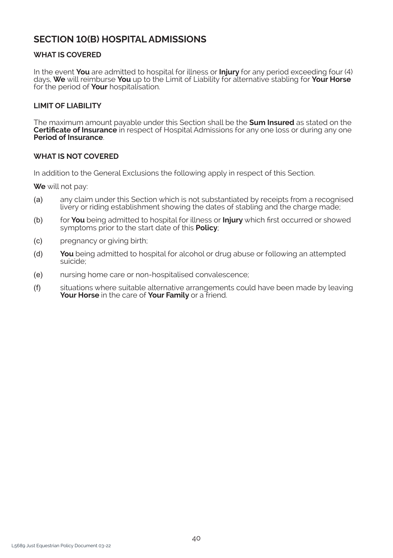# **SECTION 10(B) HOSPITAL ADMISSIONS**

# **WHAT IS COVERED**

In the event **You** are admitted to hospital for illness or **Injury** for any period exceeding four (4) days, **We** will reimburse **You** up to the Limit of Liability for alternative stabling for **Your Horse** for the period of **Your** hospitalisation.

## **LIMIT OF LIABILITY**

The maximum amount payable under this Section shall be the **Sum Insured** as stated on the **Certificate of Insurance** in respect of Hospital Admissions for any one loss or during any one **Period of Insurance**.

## **WHAT IS NOT COVERED**

In addition to the General Exclusions the following apply in respect of this Section.

**We** will not pay:

- *(a)* any claim under this Section which is not substantiated by receipts from a recognised livery or riding establishment showing the dates of stabling and the charge made;
- *(b)* for **You** being admitted to hospital for illness or **Injury** which first occurred or showed symptoms prior to the start date of this **Policy**;
- *(c)* pregnancy or giving birth;
- *(d)* **You** being admitted to hospital for alcohol or drug abuse or following an attempted suicide;
- *(e)* nursing home care or non-hospitalised convalescence;
- *(f)* situations where suitable alternative arrangements could have been made by leaving **Your Horse** in the care of **Your Family** or a friend.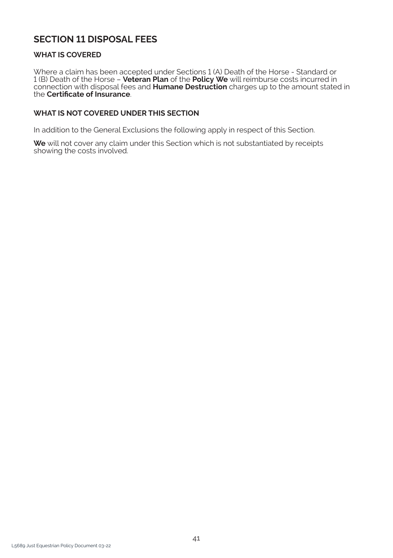# **SECTION 11 DISPOSAL FEES**

# **WHAT IS COVERED**

Where a claim has been accepted under Sections 1 (A) Death of the Horse - Standard or 1 (B) Death of the Horse – **Veteran Plan** of the **Policy We** will reimburse costs incurred in connection with disposal fees and **Humane Destruction** charges up to the amount stated in the **Certificate of Insurance**.

# **WHAT IS NOT COVERED UNDER THIS SECTION**

In addition to the General Exclusions the following apply in respect of this Section.

**We** will not cover any claim under this Section which is not substantiated by receipts showing the costs involved.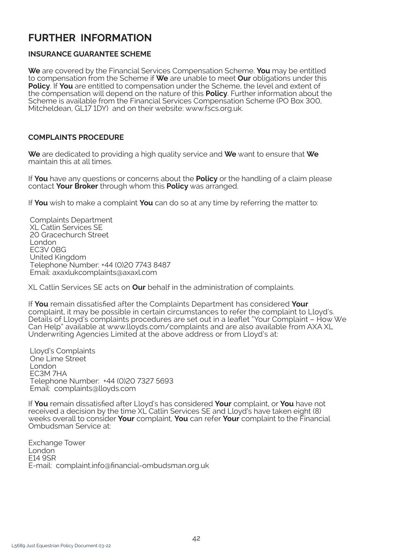# **FURTHER INFORMATION**

# **INSURANCE GUARANTEE SCHEME**

**We** are covered by the Financial Services Compensation Scheme. **You** may be entitled to compensation from the Scheme if **We** are unable to meet **Our** obligations under this **Policy**. If **You** are entitled to compensation under the Scheme, the level and extent of the compensation will depend on the nature of this **Policy**. Further information about the Scheme is available from the Financial Services Compensation Scheme (PO Box 300, Mitcheldean, GL17 1DY) and on their website: www.fscs.org.uk.

# **COMPLAINTS PROCEDURE**

**We** are dedicated to providing a high quality service and **We** want to ensure that **We** maintain this at all times.

If **You** have any questions or concerns about the **Policy** or the handling of a claim please contact **Your Broker** through whom this **Policy** was arranged.

If **You** wish to make a complaint **You** can do so at any time by referring the matter to:

Complaints Department XL Catlin Services SE 20 Gracechurch Street London EC3V 0BG United Kingdom Telephone Number: +44 (0)20 7743 8487 Email: axaxlukcomplaints@axaxl.com

XL Catlin Services SE acts on **Our** behalf in the administration of complaints.

If **You** remain dissatisfied after the Complaints Department has considered **Your** complaint, it may be possible in certain circumstances to refer the complaint to Lloyd's. Details of Lloyd's complaints procedures are set out in a leaflet "Your Complaint – How We Can Help" available at www.lloyds.com/complaints and are also available from AXA XL Underwriting Agencies Limited at the above address or from Lloyd's at:

Lloyd's Complaints One Lime Street London EC3M 7HA Telephone Number: +44 (0)20 7327 5693 Email: complaints@lloyds.com

If **You** remain dissatisfied after Lloyd's has considered **Your** complaint, or **You** have not received a decision by the time XL Catlin Services SE and Lloyd's have taken eight (8) weeks overall to consider **Your** complaint, **You** can refer **Your** complaint to the Financial Ombudsman Service at:

Exchange Tower I ondon E14 9SR E-mail: complaint.info@financial-ombudsman.org.uk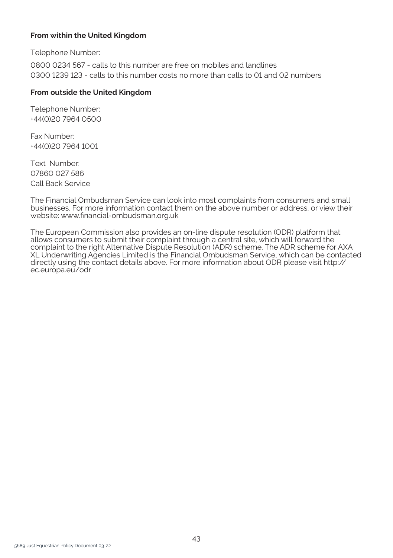# **From within the United Kingdom**

Telephone Number:

0800 0234 567 - calls to this number are free on mobiles and landlines 0300 1239 123 - calls to this number costs no more than calls to 01 and 02 numbers

# **From outside the United Kingdom**

Telephone Number: +44(0)20 7964 0500

Fax Number: +44(0)20 7964 1001

Text Number: 07860 027 586 Call Back Service

The Financial Ombudsman Service can look into most complaints from consumers and small businesses. For more information contact them on the above number or address, or view their website: www.financial-ombudsman.org.uk

The European Commission also provides an on-line dispute resolution (ODR) platform that allows consumers to submit their complaint through a central site, which will forward the complaint to the right Alternative Dispute Resolution (ADR) scheme. The ADR scheme for AXA XL Underwriting Agencies Limited is the Financial Ombudsman Service, which can be contacted directly using the contact details above. For more information about ODR please visit http:// ec.europa.eu/odr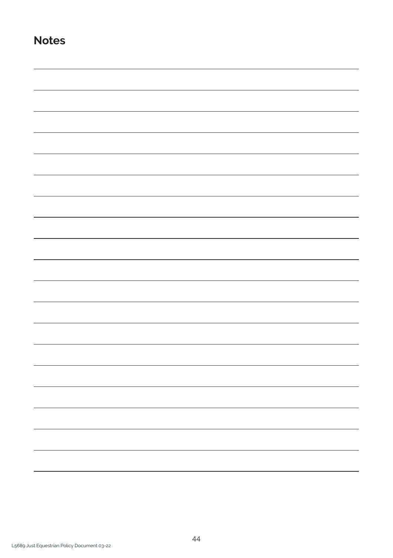**Notes**